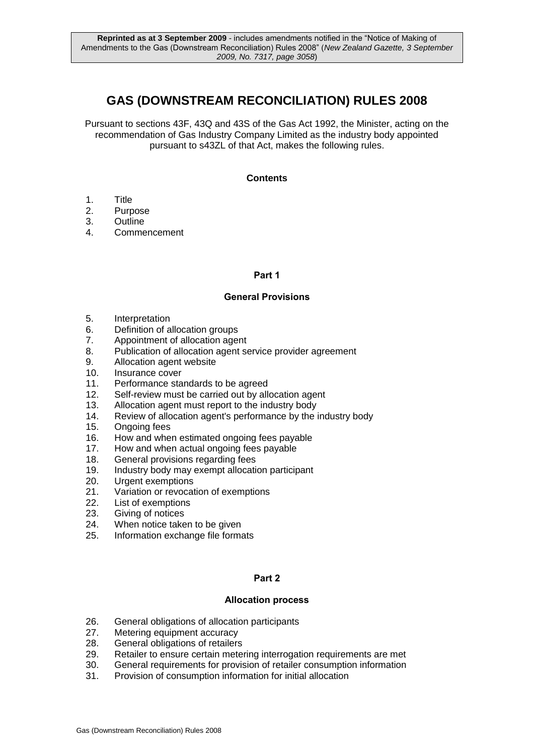# **GAS (DOWNSTREAM RECONCILIATION) RULES 2008**

Pursuant to sections 43F, 43Q and 43S of the Gas Act 1992, the Minister, acting on the recommendation of Gas Industry Company Limited as the industry body appointed pursuant to s43ZL of that Act, makes the following rules.

### **Contents**

- 1. Title
- 2. Purpose
- 3. Outline<br>4. Comme
- **Commencement**

### **Part 1**

### **General Provisions**

- 5. Interpretation
- 6. Definition of allocation groups
- 7. Appointment of allocation agent
- 8. Publication of allocation agent service provider agreement
- 9. Allocation agent website
- 10. Insurance cover
- 11. Performance standards to be agreed
- 12. Self-review must be carried out by allocation agent
- 13. Allocation agent must report to the industry body<br>14. Review of allocation agent's performance by the i
- 14. Review of allocation agent's performance by the industry body<br>15. Ongoing fees
- Ongoing fees
- 16. How and when estimated ongoing fees payable<br>17. How and when actual ongoing fees payable
- 17. How and when actual ongoing fees payable<br>18. General provisions regarding fees
- General provisions regarding fees
- 19. Industry body may exempt allocation participant
- 20. Urgent exemptions
- 21. Variation or revocation of exemptions
- 22. List of exemptions
- 23. Giving of notices
- 24. When notice taken to be given
- 25. Information exchange file formats

### **Part 2**

### **Allocation process**

- 26. General obligations of allocation participants
- 27. Metering equipment accuracy
- 28. General obligations of retailers
- 29. Retailer to ensure certain metering interrogation requirements are met
- 30. General requirements for provision of retailer consumption information
- 31. Provision of consumption information for initial allocation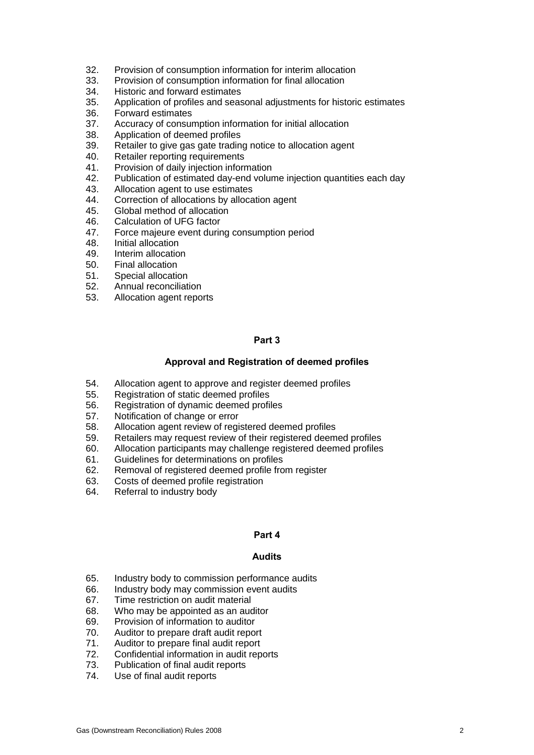- 32. Provision of consumption information for interim allocation
- 33. Provision of consumption information for final allocation
- 34. Historic and forward estimates
- 35. Application of profiles and seasonal adjustments for historic estimates
- 36. Forward estimates<br>37. Accuracy of consul
- 37. Accuracy of consumption information for initial allocation<br>38. Application of deemed profiles
- Application of deemed profiles
- 39. Retailer to give gas gate trading notice to allocation agent
- 40. Retailer reporting requirements
- 41. Provision of daily injection information
- 42. Publication of estimated day-end volume injection quantities each day
- 43. Allocation agent to use estimates
- 44. Correction of allocations by allocation agent<br>45. Global method of allocation
- Global method of allocation
- 46. Calculation of UFG factor<br>47. Force maieure event durin
- 47. Force majeure event during consumption period
- 48. Initial allocation
- 49. Interim allocation
- 50. Final allocation<br>51. Special allocation
- Special allocation
- 52. Annual reconciliation
- 53. Allocation agent reports

### **Part 3**

### **Approval and Registration of deemed profiles**

- 54. Allocation agent to approve and register deemed profiles
- 55. Registration of static deemed profiles
- 56. Registration of dynamic deemed profiles<br>57. Notification of change or error
- 57. Notification of change or error<br>58. Allocation agent review of regi
- Allocation agent review of registered deemed profiles
- 59. Retailers may request review of their registered deemed profiles<br>60. Allocation participants may challenge registered deemed profiles
- 60. Allocation participants may challenge registered deemed profiles<br>61. Guidelines for determinations on profiles
- Guidelines for determinations on profiles
- 62. Removal of registered deemed profile from register
- 63. Costs of deemed profile registration
- 64. Referral to industry body

#### **Part 4**

#### **Audits**

- 65. Industry body to commission performance audits
- 66. Industry body may commission event audits
- 67. Time restriction on audit material
- 68. Who may be appointed as an auditor
- 69. Provision of information to auditor
- 70. Auditor to prepare draft audit report
- 71. Auditor to prepare final audit report
- 72. Confidential information in audit reports
- 73. Publication of final audit reports
- 74. Use of final audit reports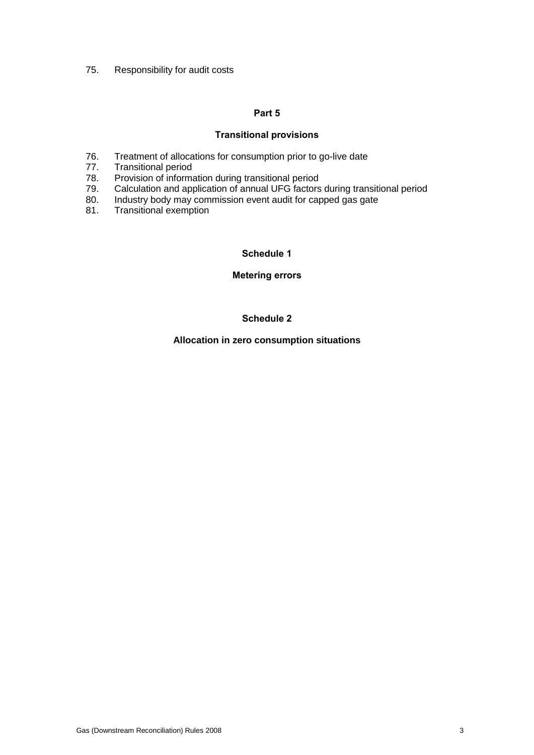75. Responsibility for audit costs

### **Part 5**

### **Transitional provisions**

- 76. Treatment of allocations for consumption prior to go-live date
- 77. Transitional period
- 78. Provision of information during transitional period
- 79. Calculation and application of annual UFG factors during transitional period<br>80. Industry body may commission event audit for capped gas gate
- 80. Industry body may commission event audit for capped gas gate 81. Transitional exemption
- Transitional exemption

**Schedule 1**

**Metering errors**

### **Schedule 2**

**Allocation in zero consumption situations**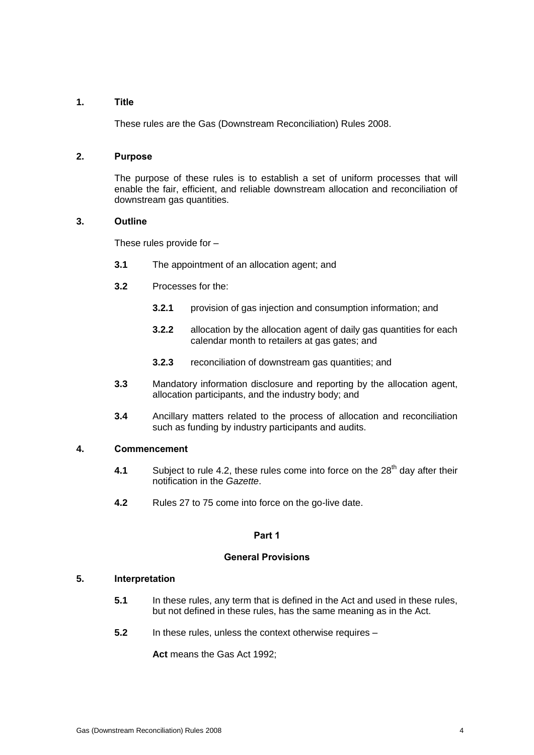### **1. Title**

These rules are the Gas (Downstream Reconciliation) Rules 2008.

### **2. Purpose**

The purpose of these rules is to establish a set of uniform processes that will enable the fair, efficient, and reliable downstream allocation and reconciliation of downstream gas quantities.

### **3. Outline**

These rules provide for –

- **3.1** The appointment of an allocation agent; and
- **3.2** Processes for the:
	- **3.2.1** provision of gas injection and consumption information; and
	- **3.2.2** allocation by the allocation agent of daily gas quantities for each calendar month to retailers at gas gates; and
	- **3.2.3** reconciliation of downstream gas quantities; and
- **3.3** Mandatory information disclosure and reporting by the allocation agent, allocation participants, and the industry body; and
- **3.4** Ancillary matters related to the process of allocation and reconciliation such as funding by industry participants and audits.

### **4. Commencement**

- **4.1** Subject to rule 4.2, these rules come into force on the 28<sup>th</sup> day after their notification in the *Gazette*.
- **4.2** Rules 27 to 75 come into force on the go-live date.

### **Part 1**

### **General Provisions**

#### **5. Interpretation**

- **5.1** In these rules, any term that is defined in the Act and used in these rules, but not defined in these rules, has the same meaning as in the Act.
- **5.2** In these rules, unless the context otherwise requires –

**Act** means the Gas Act 1992;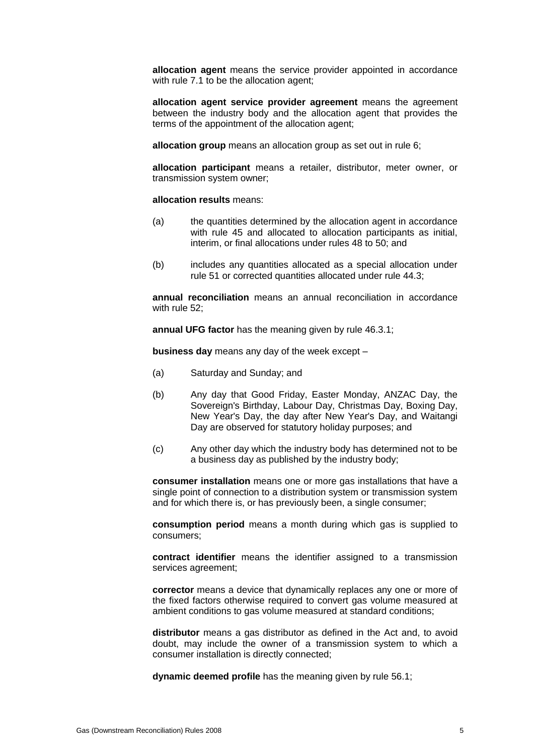**allocation agent** means the service provider appointed in accordance with rule 7.1 to be the allocation agent;

**allocation agent service provider agreement** means the agreement between the industry body and the allocation agent that provides the terms of the appointment of the allocation agent;

**allocation group** means an allocation group as set out in rule 6;

**allocation participant** means a retailer, distributor, meter owner, or transmission system owner;

#### **allocation results** means:

- (a) the quantities determined by the allocation agent in accordance with rule 45 and allocated to allocation participants as initial. interim, or final allocations under rules 48 to 50; and
- (b) includes any quantities allocated as a special allocation under rule 51 or corrected quantities allocated under rule 44.3;

**annual reconciliation** means an annual reconciliation in accordance with rule 52;

**annual UFG factor** has the meaning given by rule 46.3.1;

**business day** means any day of the week except –

- (a) Saturday and Sunday; and
- (b) Any day that Good Friday, Easter Monday, ANZAC Day, the Sovereign's Birthday, Labour Day, Christmas Day, Boxing Day, New Year's Day, the day after New Year's Day, and Waitangi Day are observed for statutory holiday purposes; and
- (c) Any other day which the industry body has determined not to be a business day as published by the industry body;

**consumer installation** means one or more gas installations that have a single point of connection to a distribution system or transmission system and for which there is, or has previously been, a single consumer;

**consumption period** means a month during which gas is supplied to consumers;

**contract identifier** means the identifier assigned to a transmission services agreement;

**corrector** means a device that dynamically replaces any one or more of the fixed factors otherwise required to convert gas volume measured at ambient conditions to gas volume measured at standard conditions;

**distributor** means a gas distributor as defined in the Act and, to avoid doubt, may include the owner of a transmission system to which a consumer installation is directly connected;

**dynamic deemed profile** has the meaning given by rule 56.1;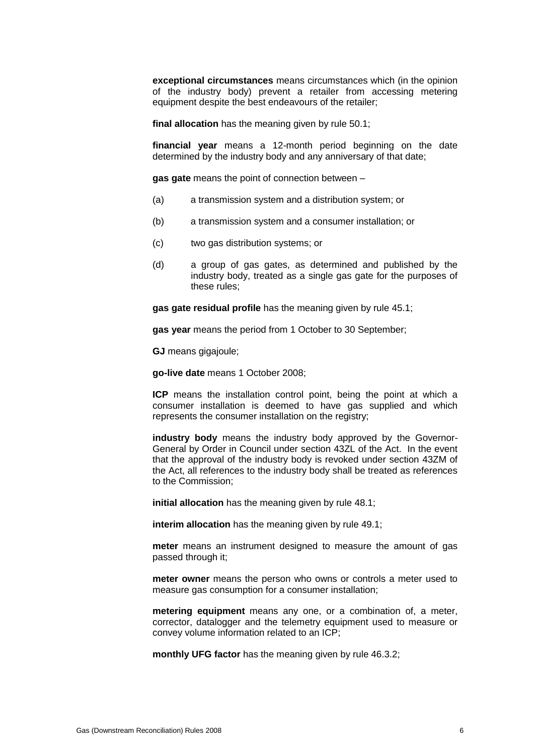**exceptional circumstances** means circumstances which (in the opinion of the industry body) prevent a retailer from accessing metering equipment despite the best endeavours of the retailer;

**final allocation** has the meaning given by rule 50.1;

**financial year** means a 12-month period beginning on the date determined by the industry body and any anniversary of that date;

**gas gate** means the point of connection between –

- (a) a transmission system and a distribution system; or
- (b) a transmission system and a consumer installation; or
- (c) two gas distribution systems; or
- (d) a group of gas gates, as determined and published by the industry body, treated as a single gas gate for the purposes of these rules;

**gas gate residual profile** has the meaning given by rule 45.1;

**gas year** means the period from 1 October to 30 September;

**GJ** means gigajoule;

**go-live date** means 1 October 2008;

**ICP** means the installation control point, being the point at which a consumer installation is deemed to have gas supplied and which represents the consumer installation on the registry;

**industry body** means the industry body approved by the Governor-General by Order in Council under section 43ZL of the Act. In the event that the approval of the industry body is revoked under section 43ZM of the Act, all references to the industry body shall be treated as references to the Commission;

**initial allocation** has the meaning given by rule 48.1;

**interim allocation** has the meaning given by rule 49.1;

**meter** means an instrument designed to measure the amount of gas passed through it;

**meter owner** means the person who owns or controls a meter used to measure gas consumption for a consumer installation;

**metering equipment** means any one, or a combination of, a meter, corrector, datalogger and the telemetry equipment used to measure or convey volume information related to an ICP;

**monthly UFG factor** has the meaning given by rule 46.3.2;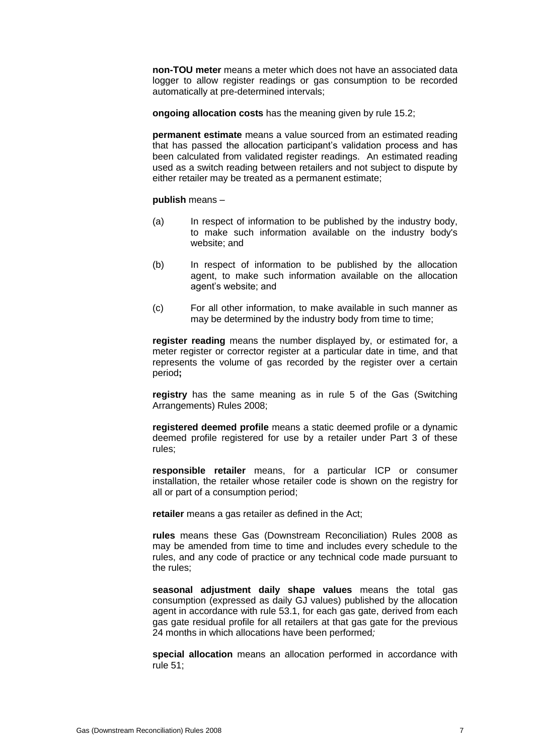**non-TOU meter** means a meter which does not have an associated data logger to allow register readings or gas consumption to be recorded automatically at pre-determined intervals;

**ongoing allocation costs** has the meaning given by rule 15.2;

**permanent estimate** means a value sourced from an estimated reading that has passed the allocation participant's validation process and has been calculated from validated register readings. An estimated reading used as a switch reading between retailers and not subject to dispute by either retailer may be treated as a permanent estimate;

**publish** means –

- (a) In respect of information to be published by the industry body, to make such information available on the industry body's website; and
- (b) In respect of information to be published by the allocation agent, to make such information available on the allocation agent's website; and
- (c) For all other information, to make available in such manner as may be determined by the industry body from time to time;

**register reading** means the number displayed by, or estimated for, a meter register or corrector register at a particular date in time, and that represents the volume of gas recorded by the register over a certain period**;**

**registry** has the same meaning as in rule 5 of the Gas (Switching Arrangements) Rules 2008;

**registered deemed profile** means a static deemed profile or a dynamic deemed profile registered for use by a retailer under Part 3 of these rules;

**responsible retailer** means, for a particular ICP or consumer installation, the retailer whose retailer code is shown on the registry for all or part of a consumption period;

**retailer** means a gas retailer as defined in the Act;

**rules** means these Gas (Downstream Reconciliation) Rules 2008 as may be amended from time to time and includes every schedule to the rules, and any code of practice or any technical code made pursuant to the rules;

**seasonal adjustment daily shape values** means the total gas consumption (expressed as daily GJ values) published by the allocation agent in accordance with rule 53.1, for each gas gate, derived from each gas gate residual profile for all retailers at that gas gate for the previous 24 months in which allocations have been performed*;*

**special allocation** means an allocation performed in accordance with rule 51;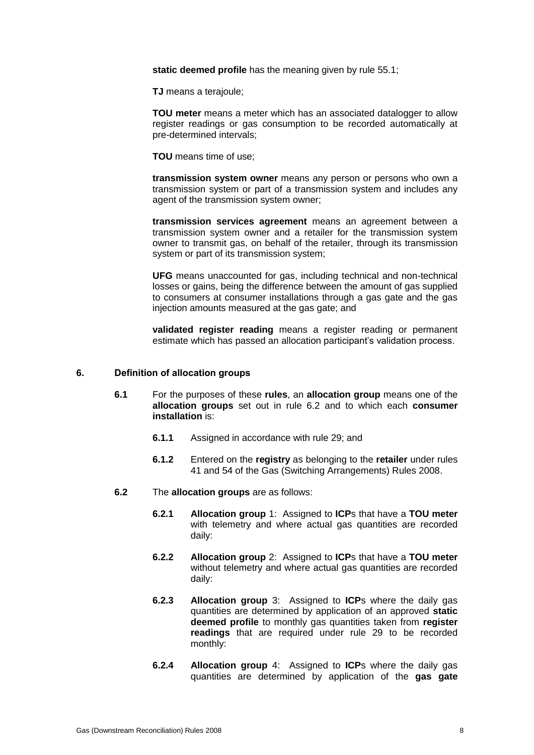**static deemed profile** has the meaning given by rule 55.1;

**TJ** means a terajoule;

**TOU meter** means a meter which has an associated datalogger to allow register readings or gas consumption to be recorded automatically at pre-determined intervals;

**TOU** means time of use;

**transmission system owner** means any person or persons who own a transmission system or part of a transmission system and includes any agent of the transmission system owner;

**transmission services agreement** means an agreement between a transmission system owner and a retailer for the transmission system owner to transmit gas, on behalf of the retailer, through its transmission system or part of its transmission system;

**UFG** means unaccounted for gas, including technical and non-technical losses or gains, being the difference between the amount of gas supplied to consumers at consumer installations through a gas gate and the gas injection amounts measured at the gas gate; and

**validated register reading** means a register reading or permanent estimate which has passed an allocation participant's validation process.

#### **6. Definition of allocation groups**

- **6.1** For the purposes of these **rules**, an **allocation group** means one of the **allocation groups** set out in rule 6.2 and to which each **consumer installation** is:
	- **6.1.1** Assigned in accordance with rule 29; and
	- **6.1.2** Entered on the **registry** as belonging to the **retailer** under rules 41 and 54 of the Gas (Switching Arrangements) Rules 2008.
- **6.2** The **allocation groups** are as follows:
	- **6.2.1 Allocation group** 1: Assigned to **ICP**s that have a **TOU meter** with telemetry and where actual gas quantities are recorded daily:
	- **6.2.2 Allocation group** 2: Assigned to **ICP**s that have a **TOU meter** without telemetry and where actual gas quantities are recorded daily:
	- **6.2.3 Allocation group** 3: Assigned to **ICP**s where the daily gas quantities are determined by application of an approved **static deemed profile** to monthly gas quantities taken from **register readings** that are required under rule 29 to be recorded monthly:
	- **6.2.4 Allocation group** 4: Assigned to **ICP**s where the daily gas quantities are determined by application of the **gas gate**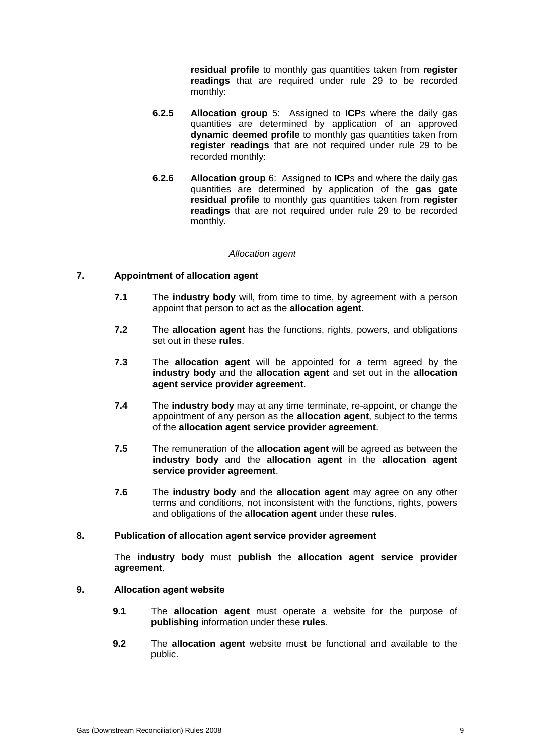**residual profile** to monthly gas quantities taken from **register readings** that are required under rule 29 to be recorded monthly:

- **6.2.5 Allocation group** 5: Assigned to **ICP**s where the daily gas quantities are determined by application of an approved **dynamic deemed profile** to monthly gas quantities taken from **register readings** that are not required under rule 29 to be recorded monthly:
- **6.2.6 Allocation group** 6: Assigned to **ICP**s and where the daily gas quantities are determined by application of the **gas gate residual profile** to monthly gas quantities taken from **register readings** that are not required under rule 29 to be recorded monthly.

### *Allocation agent*

### **7. Appointment of allocation agent**

- **7.1** The **industry body** will, from time to time, by agreement with a person appoint that person to act as the **allocation agent**.
- **7.2** The **allocation agent** has the functions, rights, powers, and obligations set out in these **rules**.
- **7.3** The **allocation agent** will be appointed for a term agreed by the **industry body** and the **allocation agent** and set out in the **allocation agent service provider agreement**.
- **7.4** The **industry body** may at any time terminate, re-appoint, or change the appointment of any person as the **allocation agent**, subject to the terms of the **allocation agent service provider agreement**.
- **7.5** The remuneration of the **allocation agent** will be agreed as between the **industry body** and the **allocation agent** in the **allocation agent service provider agreement**.
- **7.6** The **industry body** and the **allocation agent** may agree on any other terms and conditions, not inconsistent with the functions, rights, powers and obligations of the **allocation agent** under these **rules**.

### **8. Publication of allocation agent service provider agreement**

The **industry body** must **publish** the **allocation agent service provider agreement**.

### **9. Allocation agent website**

- **9.1** The **allocation agent** must operate a website for the purpose of **publishing** information under these **rules**.
- **9.2** The **allocation agent** website must be functional and available to the public.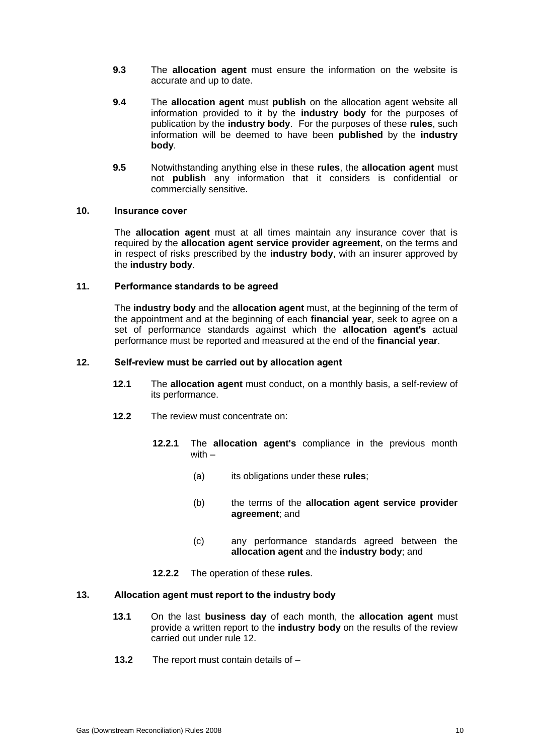- **9.3** The **allocation agent** must ensure the information on the website is accurate and up to date.
- **9.4** The **allocation agent** must **publish** on the allocation agent website all information provided to it by the **industry body** for the purposes of publication by the **industry body**. For the purposes of these **rules**, such information will be deemed to have been **published** by the **industry body**.
- **9.5** Notwithstanding anything else in these **rules**, the **allocation agent** must not **publish** any information that it considers is confidential or commercially sensitive.

### **10. Insurance cover**

The **allocation agent** must at all times maintain any insurance cover that is required by the **allocation agent service provider agreement**, on the terms and in respect of risks prescribed by the **industry body**, with an insurer approved by the **industry body**.

### **11. Performance standards to be agreed**

The **industry body** and the **allocation agent** must, at the beginning of the term of the appointment and at the beginning of each **financial year**, seek to agree on a set of performance standards against which the **allocation agent's** actual performance must be reported and measured at the end of the **financial year**.

### **12. Self-review must be carried out by allocation agent**

- **12.1** The **allocation agent** must conduct, on a monthly basis, a self-review of its performance.
- **12.2** The review must concentrate on:
	- **12.2.1** The **allocation agent's** compliance in the previous month with –
		- (a) its obligations under these **rules**;
		- (b) the terms of the **allocation agent service provider agreement**; and
		- (c) any performance standards agreed between the **allocation agent** and the **industry body**; and
	- **12.2.2** The operation of these **rules**.

### **13. Allocation agent must report to the industry body**

- **13.1** On the last **business day** of each month, the **allocation agent** must provide a written report to the **industry body** on the results of the review carried out under rule 12.
- **13.2** The report must contain details of –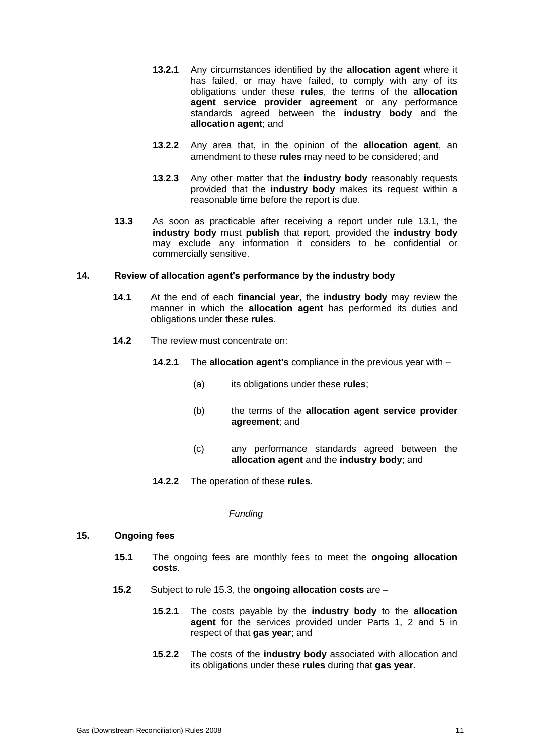- **13.2.1** Any circumstances identified by the **allocation agent** where it has failed, or may have failed, to comply with any of its obligations under these **rules**, the terms of the **allocation agent service provider agreement** or any performance standards agreed between the **industry body** and the **allocation agent**; and
- **13.2.2** Any area that, in the opinion of the **allocation agent**, an amendment to these **rules** may need to be considered; and
- **13.2.3** Any other matter that the **industry body** reasonably requests provided that the **industry body** makes its request within a reasonable time before the report is due.
- **13.3** As soon as practicable after receiving a report under rule 13.1, the **industry body** must **publish** that report, provided the **industry body** may exclude any information it considers to be confidential or commercially sensitive.

### **14. Review of allocation agent's performance by the industry body**

- **14.1** At the end of each **financial year**, the **industry body** may review the manner in which the **allocation agent** has performed its duties and obligations under these **rules**.
- **14.2** The review must concentrate on:
	- **14.2.1** The **allocation agent's** compliance in the previous year with
		- (a) its obligations under these **rules**;
		- (b) the terms of the **allocation agent service provider agreement**; and
		- (c) any performance standards agreed between the **allocation agent** and the **industry body**; and
	- **14.2.2** The operation of these **rules**.

#### *Funding*

### **15. Ongoing fees**

- **15.1** The ongoing fees are monthly fees to meet the **ongoing allocation costs**.
- **15.2** Subject to rule 15.3, the **ongoing allocation costs** are
	- **15.2.1** The costs payable by the **industry body** to the **allocation agent** for the services provided under Parts 1, 2 and 5 in respect of that **gas year**; and
	- **15.2.2** The costs of the **industry body** associated with allocation and its obligations under these **rules** during that **gas year**.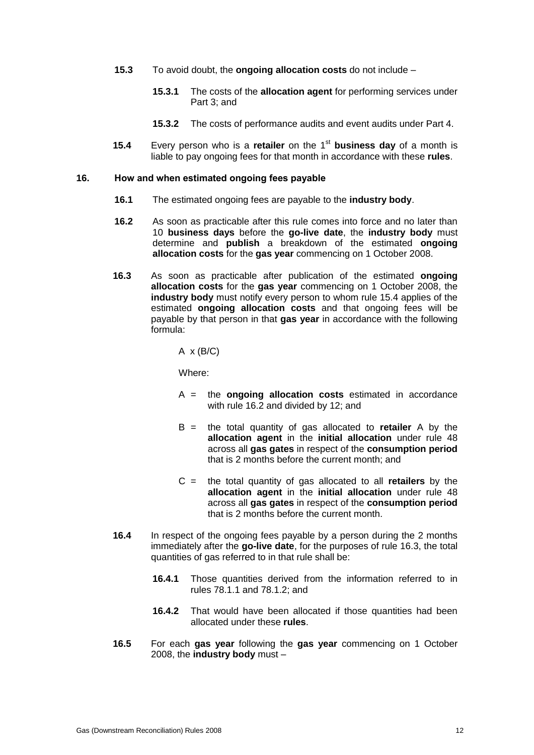- **15.3** To avoid doubt, the **ongoing allocation costs** do not include
	- **15.3.1** The costs of the **allocation agent** for performing services under Part 3; and
	- **15.3.2** The costs of performance audits and event audits under Part 4.
- **15.4** Every person who is a **retailer** on the 1<sup>st</sup> business day of a month is liable to pay ongoing fees for that month in accordance with these **rules**.

#### **16. How and when estimated ongoing fees payable**

- **16.1** The estimated ongoing fees are payable to the **industry body**.
- **16.2** As soon as practicable after this rule comes into force and no later than 10 **business days** before the **go-live date**, the **industry body** must determine and **publish** a breakdown of the estimated **ongoing allocation costs** for the **gas year** commencing on 1 October 2008.
- **16.3** As soon as practicable after publication of the estimated **ongoing allocation costs** for the **gas year** commencing on 1 October 2008, the **industry body** must notify every person to whom rule 15.4 applies of the estimated **ongoing allocation costs** and that ongoing fees will be payable by that person in that **gas year** in accordance with the following formula:

 $A \times (B/C)$ 

Where:

- A = the **ongoing allocation costs** estimated in accordance with rule 16.2 and divided by 12; and
- B = the total quantity of gas allocated to **retailer** A by the **allocation agent** in the **initial allocation** under rule 48 across all **gas gates** in respect of the **consumption period** that is 2 months before the current month; and
- C = the total quantity of gas allocated to all **retailers** by the **allocation agent** in the **initial allocation** under rule 48 across all **gas gates** in respect of the **consumption period** that is 2 months before the current month.
- **16.4** In respect of the ongoing fees payable by a person during the 2 months immediately after the **go-live date**, for the purposes of rule 16.3, the total quantities of gas referred to in that rule shall be:
	- **16.4.1** Those quantities derived from the information referred to in rules 78.1.1 and 78.1.2; and
	- **16.4.2** That would have been allocated if those quantities had been allocated under these **rules**.
- **16.5** For each **gas year** following the **gas year** commencing on 1 October 2008, the **industry body** must –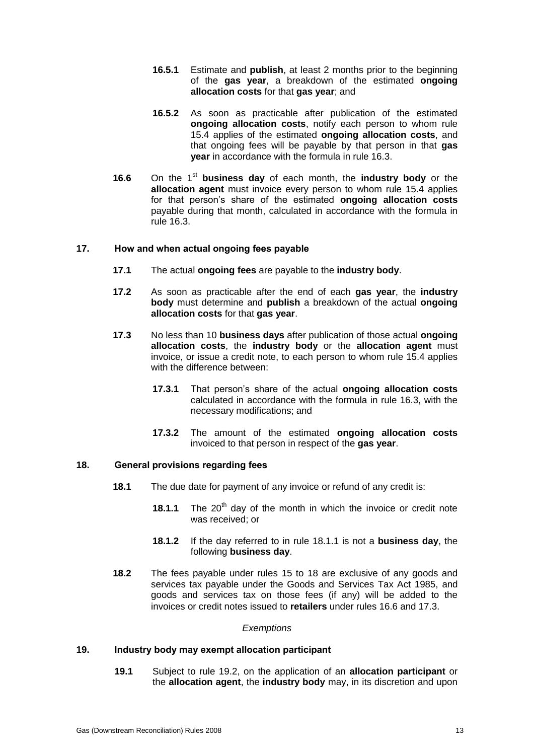- **16.5.1** Estimate and **publish**, at least 2 months prior to the beginning of the **gas year**, a breakdown of the estimated **ongoing allocation costs** for that **gas year**; and
- **16.5.2** As soon as practicable after publication of the estimated **ongoing allocation costs**, notify each person to whom rule 15.4 applies of the estimated **ongoing allocation costs**, and that ongoing fees will be payable by that person in that **gas year** in accordance with the formula in rule 16.3.
- **16.6** On the 1<sup>st</sup> business day of each month, the **industry body** or the **allocation agent** must invoice every person to whom rule 15.4 applies for that person's share of the estimated **ongoing allocation costs**  payable during that month, calculated in accordance with the formula in rule 16.3.

### **17. How and when actual ongoing fees payable**

- **17.1** The actual **ongoing fees** are payable to the **industry body**.
- **17.2** As soon as practicable after the end of each **gas year**, the **industry body** must determine and **publish** a breakdown of the actual **ongoing allocation costs** for that **gas year**.
- **17.3** No less than 10 **business days** after publication of those actual **ongoing allocation costs**, the **industry body** or the **allocation agent** must invoice, or issue a credit note, to each person to whom rule 15.4 applies with the difference between:
	- **17.3.1** That person's share of the actual **ongoing allocation costs** calculated in accordance with the formula in rule 16.3, with the necessary modifications; and
	- **17.3.2** The amount of the estimated **ongoing allocation costs** invoiced to that person in respect of the **gas year**.

### **18. General provisions regarding fees**

- **18.1** The due date for payment of any invoice or refund of any credit is:
	- **18.1.1** The 20<sup>th</sup> day of the month in which the invoice or credit note was received; or
	- **18.1.2** If the day referred to in rule 18.1.1 is not a **business day**, the following **business day**.
- **18.2** The fees payable under rules 15 to 18 are exclusive of any goods and services tax payable under the Goods and Services Tax Act 1985, and goods and services tax on those fees (if any) will be added to the invoices or credit notes issued to **retailers** under rules 16.6 and 17.3.

#### *Exemptions*

### **19. Industry body may exempt allocation participant**

**19.1** Subject to rule 19.2, on the application of an **allocation participant** or the **allocation agent**, the **industry body** may, in its discretion and upon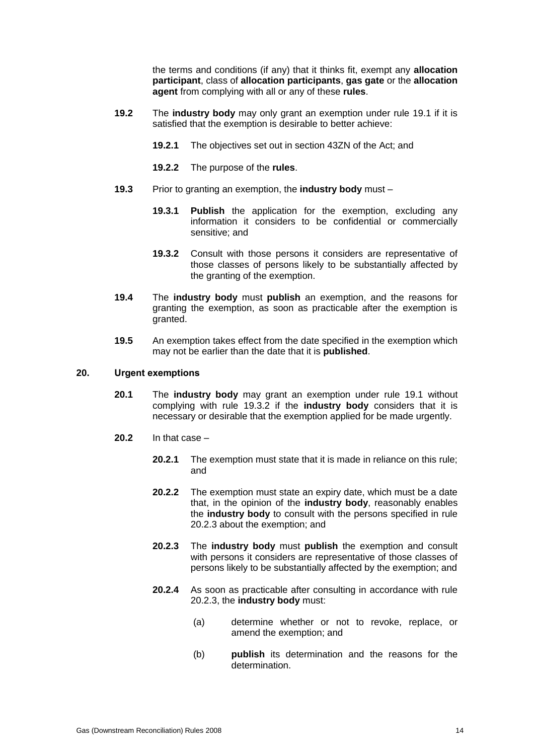the terms and conditions (if any) that it thinks fit, exempt any **allocation participant**, class of **allocation participants**, **gas gate** or the **allocation agent** from complying with all or any of these **rules**.

- **19.2** The **industry body** may only grant an exemption under rule 19.1 if it is satisfied that the exemption is desirable to better achieve:
	- **19.2.1** The objectives set out in section 43ZN of the Act; and
	- **19.2.2** The purpose of the **rules**.
- **19.3** Prior to granting an exemption, the **industry body** must
	- **19.3.1 Publish** the application for the exemption, excluding any information it considers to be confidential or commercially sensitive; and
	- **19.3.2** Consult with those persons it considers are representative of those classes of persons likely to be substantially affected by the granting of the exemption.
- **19.4** The **industry body** must **publish** an exemption, and the reasons for granting the exemption, as soon as practicable after the exemption is granted.
- **19.5** An exemption takes effect from the date specified in the exemption which may not be earlier than the date that it is **published**.

### **20. Urgent exemptions**

- **20.1** The **industry body** may grant an exemption under rule 19.1 without complying with rule 19.3.2 if the **industry body** considers that it is necessary or desirable that the exemption applied for be made urgently.
- **20.2** In that case
	- **20.2.1** The exemption must state that it is made in reliance on this rule; and
	- **20.2.2** The exemption must state an expiry date, which must be a date that, in the opinion of the **industry body**, reasonably enables the **industry body** to consult with the persons specified in rule 20.2.3 about the exemption; and
	- **20.2.3** The **industry body** must **publish** the exemption and consult with persons it considers are representative of those classes of persons likely to be substantially affected by the exemption; and
	- **20.2.4** As soon as practicable after consulting in accordance with rule 20.2.3, the **industry body** must:
		- (a) determine whether or not to revoke, replace, or amend the exemption; and
		- (b) **publish** its determination and the reasons for the determination.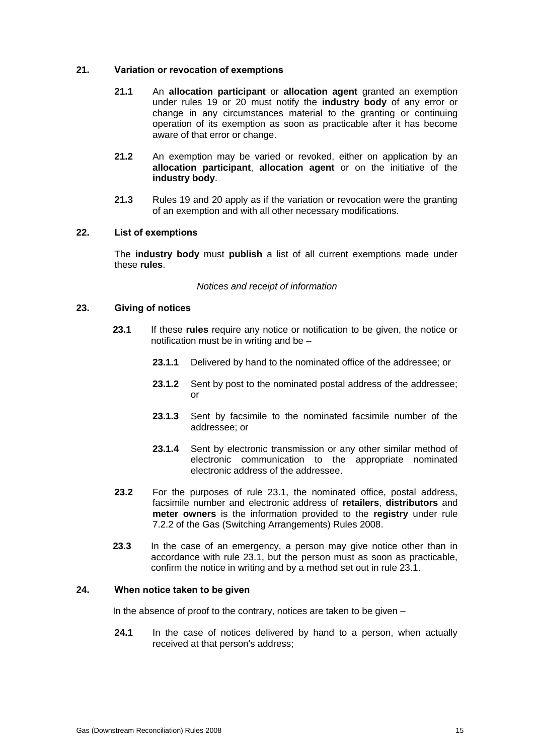### **21. Variation or revocation of exemptions**

- **21.1** An **allocation participant** or **allocation agent** granted an exemption under rules 19 or 20 must notify the **industry body** of any error or change in any circumstances material to the granting or continuing operation of its exemption as soon as practicable after it has become aware of that error or change.
- **21.2** An exemption may be varied or revoked, either on application by an **allocation participant**, **allocation agent** or on the initiative of the **industry body**.
- **21.3** Rules 19 and 20 apply as if the variation or revocation were the granting of an exemption and with all other necessary modifications.

### **22. List of exemptions**

The **industry body** must **publish** a list of all current exemptions made under these **rules**.

#### *Notices and receipt of information*

#### **23. Giving of notices**

- **23.1** If these **rules** require any notice or notification to be given, the notice or notification must be in writing and be –
	- **23.1.1** Delivered by hand to the nominated office of the addressee; or
	- **23.1.2** Sent by post to the nominated postal address of the addressee; or
	- **23.1.3** Sent by facsimile to the nominated facsimile number of the addressee; or
	- **23.1.4** Sent by electronic transmission or any other similar method of electronic communication to the appropriate nominated electronic address of the addressee.
- **23.2** For the purposes of rule 23.1, the nominated office, postal address, facsimile number and electronic address of **retailers**, **distributors** and **meter owners** is the information provided to the **registry** under rule 7.2.2 of the Gas (Switching Arrangements) Rules 2008.
- **23.3** In the case of an emergency, a person may give notice other than in accordance with rule 23.1, but the person must as soon as practicable, confirm the notice in writing and by a method set out in rule 23.1.

### **24. When notice taken to be given**

In the absence of proof to the contrary, notices are taken to be given  $-$ 

**24.1** In the case of notices delivered by hand to a person, when actually received at that person's address;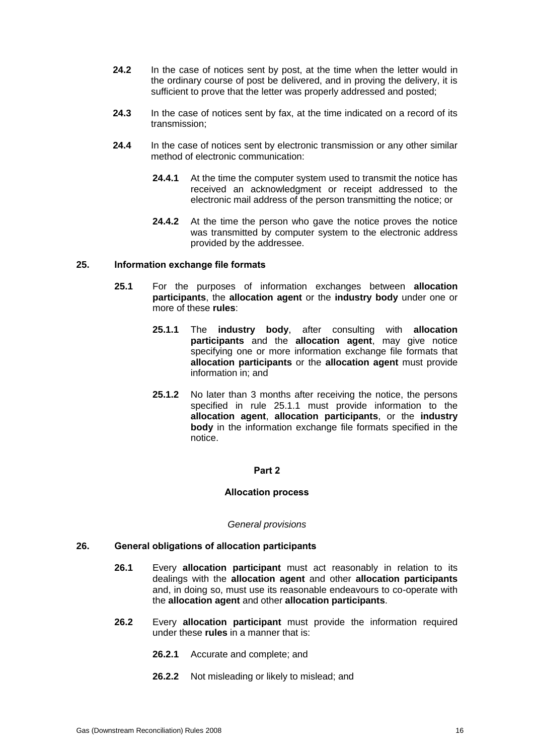- **24.2** In the case of notices sent by post, at the time when the letter would in the ordinary course of post be delivered, and in proving the delivery, it is sufficient to prove that the letter was properly addressed and posted;
- **24.3** In the case of notices sent by fax, at the time indicated on a record of its transmission;
- **24.4** In the case of notices sent by electronic transmission or any other similar method of electronic communication:
	- **24.4.1** At the time the computer system used to transmit the notice has received an acknowledgment or receipt addressed to the electronic mail address of the person transmitting the notice; or
	- **24.4.2** At the time the person who gave the notice proves the notice was transmitted by computer system to the electronic address provided by the addressee.

### **25. Information exchange file formats**

- **25.1** For the purposes of information exchanges between **allocation participants**, the **allocation agent** or the **industry body** under one or more of these **rules**:
	- **25.1.1** The **industry body**, after consulting with **allocation participants** and the **allocation agent**, may give notice specifying one or more information exchange file formats that **allocation participants** or the **allocation agent** must provide information in; and
	- **25.1.2** No later than 3 months after receiving the notice, the persons specified in rule 25.1.1 must provide information to the **allocation agent**, **allocation participants**, or the **industry body** in the information exchange file formats specified in the notice.

#### **Part 2**

#### **Allocation process**

#### *General provisions*

### **26. General obligations of allocation participants**

- **26.1** Every **allocation participant** must act reasonably in relation to its dealings with the **allocation agent** and other **allocation participants** and, in doing so, must use its reasonable endeavours to co-operate with the **allocation agent** and other **allocation participants**.
- **26.2** Every **allocation participant** must provide the information required under these **rules** in a manner that is:
	- **26.2.1** Accurate and complete; and
	- **26.2.2** Not misleading or likely to mislead; and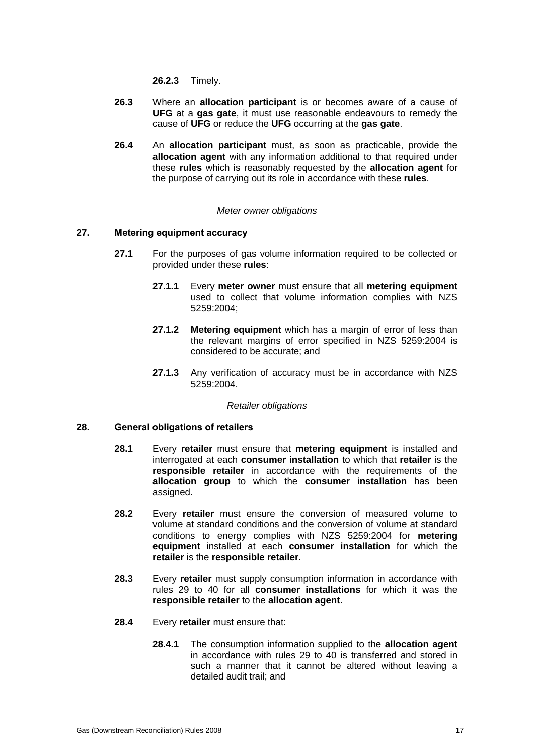**26.2.3** Timely.

- **26.3** Where an **allocation participant** is or becomes aware of a cause of **UFG** at a **gas gate**, it must use reasonable endeavours to remedy the cause of **UFG** or reduce the **UFG** occurring at the **gas gate**.
- **26.4** An **allocation participant** must, as soon as practicable, provide the **allocation agent** with any information additional to that required under these **rules** which is reasonably requested by the **allocation agent** for the purpose of carrying out its role in accordance with these **rules**.

### *Meter owner obligations*

### **27. Metering equipment accuracy**

- **27.1** For the purposes of gas volume information required to be collected or provided under these **rules**:
	- **27.1.1** Every **meter owner** must ensure that all **metering equipment** used to collect that volume information complies with NZS 5259:2004;
	- **27.1.2 Metering equipment** which has a margin of error of less than the relevant margins of error specified in NZS 5259:2004 is considered to be accurate; and
	- **27.1.3** Any verification of accuracy must be in accordance with NZS 5259:2004.

#### *Retailer obligations*

### **28. General obligations of retailers**

- **28.1** Every **retailer** must ensure that **metering equipment** is installed and interrogated at each **consumer installation** to which that **retailer** is the **responsible retailer** in accordance with the requirements of the **allocation group** to which the **consumer installation** has been assigned.
- **28.2** Every **retailer** must ensure the conversion of measured volume to volume at standard conditions and the conversion of volume at standard conditions to energy complies with NZS 5259:2004 for **metering equipment** installed at each **consumer installation** for which the **retailer** is the **responsible retailer**.
- **28.3** Every **retailer** must supply consumption information in accordance with rules 29 to 40 for all **consumer installations** for which it was the **responsible retailer** to the **allocation agent**.
- **28.4** Every **retailer** must ensure that:
	- **28.4.1** The consumption information supplied to the **allocation agent** in accordance with rules 29 to 40 is transferred and stored in such a manner that it cannot be altered without leaving a detailed audit trail; and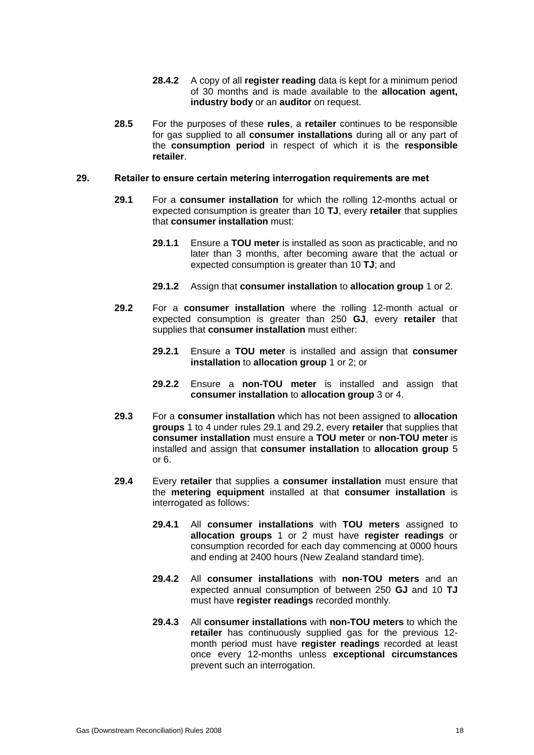- **28.4.2** A copy of all **register reading** data is kept for a minimum period of 30 months and is made available to the **allocation agent, industry body** or an **auditor** on request.
- **28.5** For the purposes of these **rules**, a **retailer** continues to be responsible for gas supplied to all **consumer installations** during all or any part of the **consumption period** in respect of which it is the **responsible retailer**.

#### **29. Retailer to ensure certain metering interrogation requirements are met**

- **29.1** For a **consumer installation** for which the rolling 12-months actual or expected consumption is greater than 10 **TJ**, every **retailer** that supplies that **consumer installation** must:
	- **29.1.1** Ensure a **TOU meter** is installed as soon as practicable, and no later than 3 months, after becoming aware that the actual or expected consumption is greater than 10 **TJ**; and
	- **29.1.2** Assign that **consumer installation** to **allocation group** 1 or 2.
- **29.2** For a **consumer installation** where the rolling 12-month actual or expected consumption is greater than 250 **GJ**, every **retailer** that supplies that **consumer installation** must either:
	- **29.2.1** Ensure a **TOU meter** is installed and assign that **consumer installation** to **allocation group** 1 or 2; or
	- **29.2.2** Ensure a **non-TOU meter** is installed and assign that **consumer installation** to **allocation group** 3 or 4.
- **29.3** For a **consumer installation** which has not been assigned to **allocation groups** 1 to 4 under rules 29.1 and 29.2, every **retailer** that supplies that **consumer installation** must ensure a **TOU meter** or **non-TOU meter** is installed and assign that **consumer installation** to **allocation group** 5 or 6.
- **29.4** Every **retailer** that supplies a **consumer installation** must ensure that the **metering equipment** installed at that **consumer installation** is interrogated as follows:
	- **29.4.1** All **consumer installations** with **TOU meters** assigned to **allocation groups** 1 or 2 must have **register readings** or consumption recorded for each day commencing at 0000 hours and ending at 2400 hours (New Zealand standard time).
	- **29.4.2** All **consumer installations** with **non-TOU meters** and an expected annual consumption of between 250 **GJ** and 10 **TJ** must have **register readings** recorded monthly.
	- **29.4.3** All **consumer installations** with **non-TOU meters** to which the **retailer** has continuously supplied gas for the previous 12 month period must have **register readings** recorded at least once every 12-months unless **exceptional circumstances** prevent such an interrogation.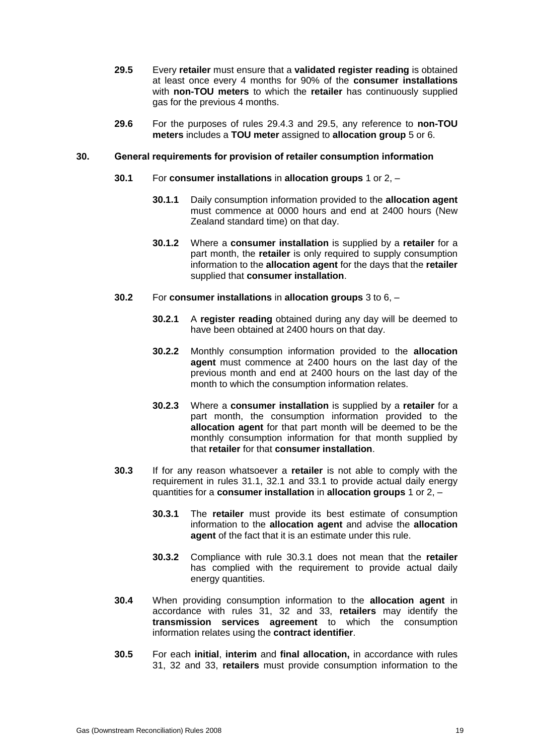- **29.5** Every **retailer** must ensure that a **validated register reading** is obtained at least once every 4 months for 90% of the **consumer installations** with **non-TOU meters** to which the **retailer** has continuously supplied gas for the previous 4 months.
- **29.6** For the purposes of rules 29.4.3 and 29.5, any reference to **non-TOU meters** includes a **TOU meter** assigned to **allocation group** 5 or 6.

#### **30. General requirements for provision of retailer consumption information**

- **30.1** For **consumer installations** in **allocation groups** 1 or 2,
	- **30.1.1** Daily consumption information provided to the **allocation agent** must commence at 0000 hours and end at 2400 hours (New Zealand standard time) on that day.
	- **30.1.2** Where a **consumer installation** is supplied by a **retailer** for a part month, the **retailer** is only required to supply consumption information to the **allocation agent** for the days that the **retailer** supplied that **consumer installation**.
- **30.2** For **consumer installations** in **allocation groups** 3 to 6,
	- **30.2.1** A **register reading** obtained during any day will be deemed to have been obtained at 2400 hours on that day.
	- **30.2.2** Monthly consumption information provided to the **allocation agent** must commence at 2400 hours on the last day of the previous month and end at 2400 hours on the last day of the month to which the consumption information relates.
	- **30.2.3** Where a **consumer installation** is supplied by a **retailer** for a part month, the consumption information provided to the **allocation agent** for that part month will be deemed to be the monthly consumption information for that month supplied by that **retailer** for that **consumer installation**.
- **30.3** If for any reason whatsoever a **retailer** is not able to comply with the requirement in rules 31.1, 32.1 and 33.1 to provide actual daily energy quantities for a **consumer installation** in **allocation groups** 1 or 2, –
	- **30.3.1** The **retailer** must provide its best estimate of consumption information to the **allocation agent** and advise the **allocation agent** of the fact that it is an estimate under this rule.
	- **30.3.2** Compliance with rule 30.3.1 does not mean that the **retailer** has complied with the requirement to provide actual daily energy quantities.
- **30.4** When providing consumption information to the **allocation agent** in accordance with rules 31, 32 and 33, **retailers** may identify the **transmission services agreement** to which the consumption information relates using the **contract identifier**.
- **30.5** For each **initial**, **interim** and **final allocation,** in accordance with rules 31, 32 and 33, **retailers** must provide consumption information to the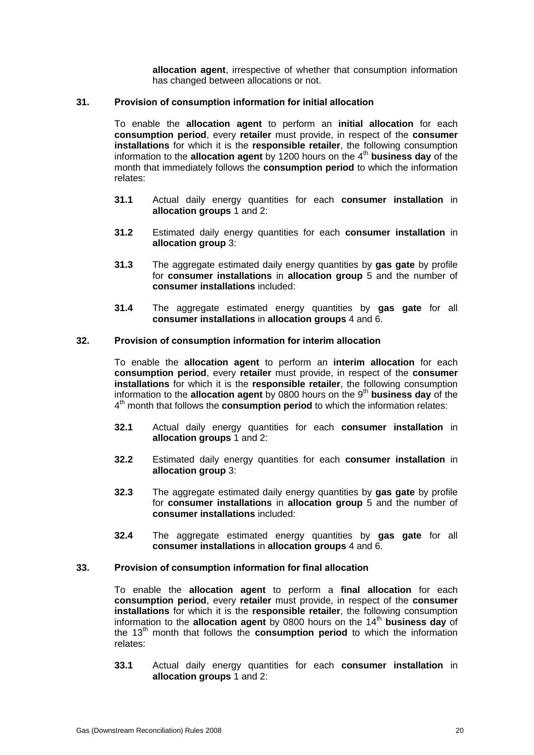**allocation agent**, irrespective of whether that consumption information has changed between allocations or not.

### **31. Provision of consumption information for initial allocation**

To enable the **allocation agent** to perform an **initial allocation** for each **consumption period**, every **retailer** must provide, in respect of the **consumer installations** for which it is the **responsible retailer**, the following consumption information to the **allocation agent** by 1200 hours on the 4<sup>th</sup> business day of the month that immediately follows the **consumption period** to which the information relates:

- **31.1** Actual daily energy quantities for each **consumer installation** in **allocation groups** 1 and 2:
- **31.2** Estimated daily energy quantities for each **consumer installation** in **allocation group** 3:
- **31.3** The aggregate estimated daily energy quantities by **gas gate** by profile for **consumer installations** in **allocation group** 5 and the number of **consumer installations** included:
- **31.4** The aggregate estimated energy quantities by **gas gate** for all **consumer installations** in **allocation groups** 4 and 6.

### **32. Provision of consumption information for interim allocation**

To enable the **allocation agent** to perform an **interim allocation** for each **consumption period**, every **retailer** must provide, in respect of the **consumer installations** for which it is the **responsible retailer**, the following consumption information to the **allocation agent** by 0800 hours on the 9<sup>th</sup> **business day** of the 4 th month that follows the **consumption period** to which the information relates:

- **32.1** Actual daily energy quantities for each **consumer installation** in **allocation groups** 1 and 2:
- **32.2** Estimated daily energy quantities for each **consumer installation** in **allocation group** 3:
- **32.3** The aggregate estimated daily energy quantities by **gas gate** by profile for **consumer installations** in **allocation group** 5 and the number of **consumer installations** included:
- **32.4** The aggregate estimated energy quantities by **gas gate** for all **consumer installations** in **allocation groups** 4 and 6.

#### **33. Provision of consumption information for final allocation**

To enable the **allocation agent** to perform a **final allocation** for each **consumption period**, every **retailer** must provide, in respect of the **consumer installations** for which it is the **responsible retailer**, the following consumption information to the **allocation agent** by 0800 hours on the 14<sup>th</sup> business day of the 13<sup>th</sup> month that follows the **consumption period** to which the information relates:

**33.1** Actual daily energy quantities for each **consumer installation** in **allocation groups** 1 and 2: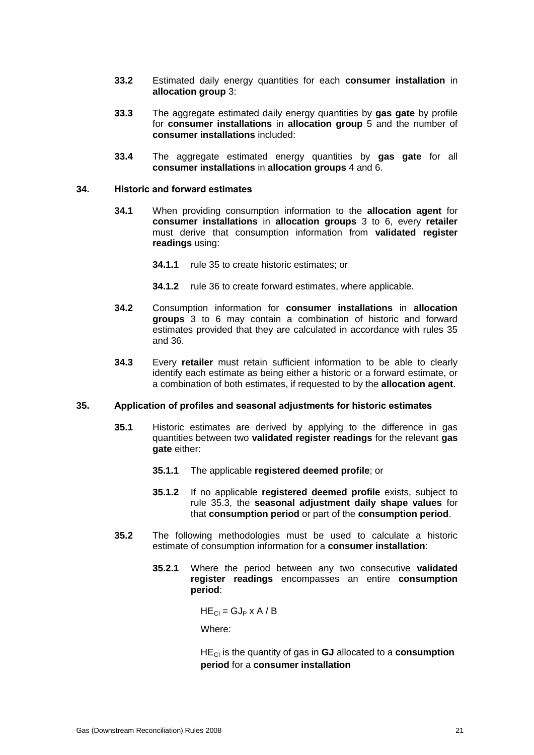- **33.2** Estimated daily energy quantities for each **consumer installation** in **allocation group** 3:
- **33.3** The aggregate estimated daily energy quantities by **gas gate** by profile for **consumer installations** in **allocation group** 5 and the number of **consumer installations** included:
- **33.4** The aggregate estimated energy quantities by **gas gate** for all **consumer installations** in **allocation groups** 4 and 6.

#### **34. Historic and forward estimates**

- **34.1** When providing consumption information to the **allocation agent** for **consumer installations** in **allocation groups** 3 to 6, every **retailer** must derive that consumption information from **validated register readings** using:
	- **34.1.1** rule 35 to create historic estimates; or
	- **34.1.2** rule 36 to create forward estimates, where applicable.
- **34.2** Consumption information for **consumer installations** in **allocation groups** 3 to 6 may contain a combination of historic and forward estimates provided that they are calculated in accordance with rules 35 and 36.
- **34.3** Every **retailer** must retain sufficient information to be able to clearly identify each estimate as being either a historic or a forward estimate, or a combination of both estimates, if requested to by the **allocation agent**.

### **35. Application of profiles and seasonal adjustments for historic estimates**

- **35.1** Historic estimates are derived by applying to the difference in gas quantities between two **validated register readings** for the relevant **gas gate** either:
	- **35.1.1** The applicable **registered deemed profile**; or
	- **35.1.2** If no applicable **registered deemed profile** exists, subject to rule 35.3, the **seasonal adjustment daily shape values** for that **consumption period** or part of the **consumption period**.
- **35.2** The following methodologies must be used to calculate a historic estimate of consumption information for a **consumer installation**:
	- **35.2.1** Where the period between any two consecutive **validated register readings** encompasses an entire **consumption period**:

 $HE_{Cl} = GJ_P \times A/B$ 

Where:

HECI is the quantity of gas in **GJ** allocated to a **consumption period** for a **consumer installation**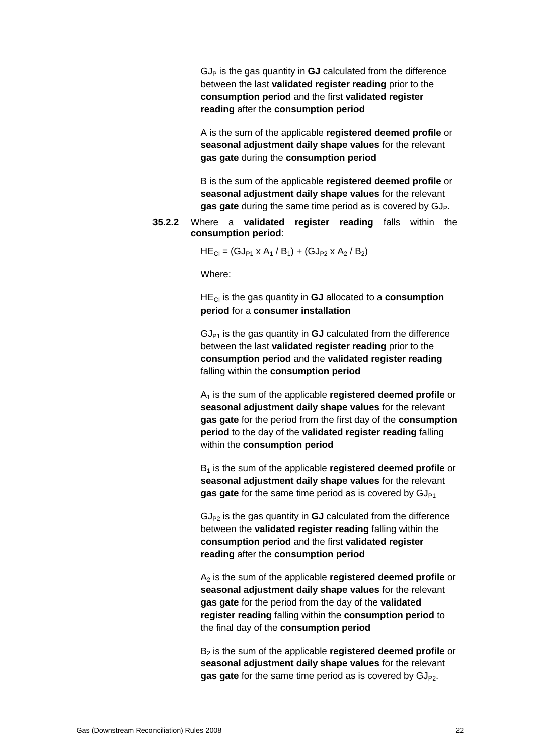$GJ<sub>P</sub>$  is the gas quantity in  $GJ$  calculated from the difference between the last **validated register reading** prior to the **consumption period** and the first **validated register reading** after the **consumption period**

A is the sum of the applicable **registered deemed profile** or **seasonal adjustment daily shape values** for the relevant **gas gate** during the **consumption period**

B is the sum of the applicable **registered deemed profile** or **seasonal adjustment daily shape values** for the relevant **gas gate** during the same time period as is covered by GJ<sub>P</sub>.

### **35.2.2** Where a **validated register reading** falls within the **consumption period**:

 $HE_{Cl} = (GJ_{P1} \times A_1 / B_1) + (GJ_{P2} \times A_2 / B_2)$ 

Where:

HECI is the gas quantity in **GJ** allocated to a **consumption period** for a **consumer installation**

 $GJ_{P1}$  is the gas quantity in  $GJ$  calculated from the difference between the last **validated register reading** prior to the **consumption period** and the **validated register reading** falling within the **consumption period**

A<sup>1</sup> is the sum of the applicable **registered deemed profile** or **seasonal adjustment daily shape values** for the relevant **gas gate** for the period from the first day of the **consumption period** to the day of the **validated register reading** falling within the **consumption period**

B<sup>1</sup> is the sum of the applicable **registered deemed profile** or **seasonal adjustment daily shape values** for the relevant gas gate for the same time period as is covered by GJ<sub>P1</sub>

 $GJ_{P2}$  is the gas quantity in  $GJ$  calculated from the difference between the **validated register reading** falling within the **consumption period** and the first **validated register reading** after the **consumption period**

A<sup>2</sup> is the sum of the applicable **registered deemed profile** or **seasonal adjustment daily shape values** for the relevant **gas gate** for the period from the day of the **validated register reading** falling within the **consumption period** to the final day of the **consumption period**

B<sup>2</sup> is the sum of the applicable **registered deemed profile** or **seasonal adjustment daily shape values** for the relevant **gas gate** for the same time period as is covered by GJ<sub>P2</sub>.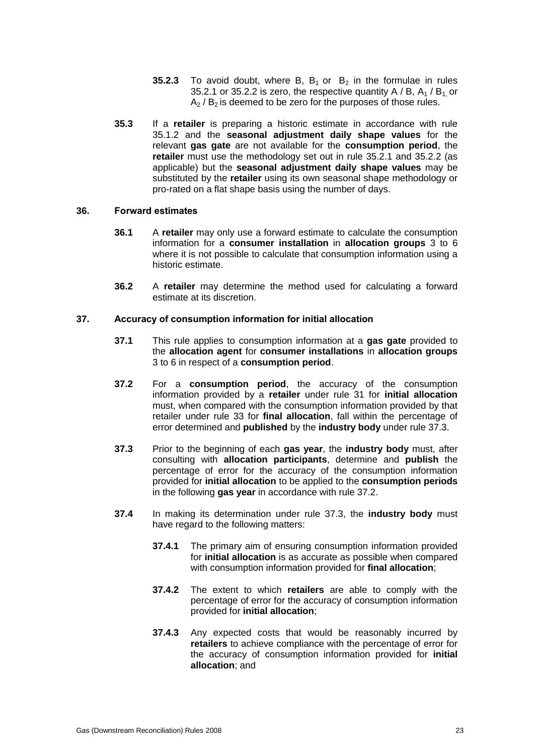- **35.2.3** To avoid doubt, where B,  $B_1$  or  $B_2$  in the formulae in rules 35.2.1 or 35.2.2 is zero, the respective quantity A / B,  $A_1$  / B<sub>1</sub> or  $A_2$  /  $B_2$  is deemed to be zero for the purposes of those rules.
- **35.3** If a **retailer** is preparing a historic estimate in accordance with rule 35.1.2 and the **seasonal adjustment daily shape values** for the relevant **gas gate** are not available for the **consumption period**, the **retailer** must use the methodology set out in rule 35.2.1 and 35.2.2 (as applicable) but the **seasonal adjustment daily shape values** may be substituted by the **retailer** using its own seasonal shape methodology or pro-rated on a flat shape basis using the number of days.

### **36. Forward estimates**

- **36.1** A **retailer** may only use a forward estimate to calculate the consumption information for a **consumer installation** in **allocation groups** 3 to 6 where it is not possible to calculate that consumption information using a historic estimate.
- **36.2** A **retailer** may determine the method used for calculating a forward estimate at its discretion.

### **37. Accuracy of consumption information for initial allocation**

- **37.1** This rule applies to consumption information at a **gas gate** provided to the **allocation agent** for **consumer installations** in **allocation groups** 3 to 6 in respect of a **consumption period**.
- **37.2** For a **consumption period**, the accuracy of the consumption information provided by a **retailer** under rule 31 for **initial allocation** must, when compared with the consumption information provided by that retailer under rule 33 for **final allocation**, fall within the percentage of error determined and **published** by the **industry body** under rule 37.3.
- **37.3** Prior to the beginning of each **gas year**, the **industry body** must, after consulting with **allocation participants**, determine and **publish** the percentage of error for the accuracy of the consumption information provided for **initial allocation** to be applied to the **consumption periods**  in the following **gas year** in accordance with rule 37.2.
- **37.4** In making its determination under rule 37.3, the **industry body** must have regard to the following matters:
	- **37.4.1** The primary aim of ensuring consumption information provided for **initial allocation** is as accurate as possible when compared with consumption information provided for **final allocation**;
	- **37.4.2** The extent to which **retailers** are able to comply with the percentage of error for the accuracy of consumption information provided for **initial allocation**;
	- **37.4.3** Any expected costs that would be reasonably incurred by **retailers** to achieve compliance with the percentage of error for the accuracy of consumption information provided for **initial allocation**; and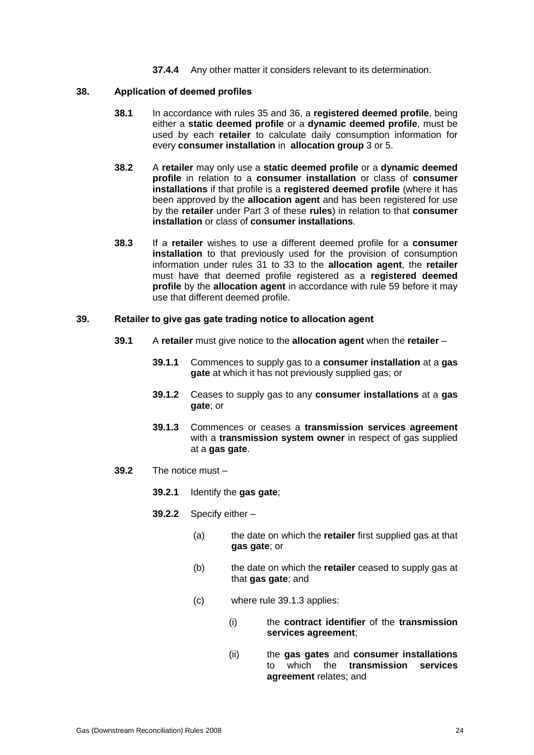**37.4.4** Any other matter it considers relevant to its determination.

### **38. Application of deemed profiles**

- **38.1** In accordance with rules 35 and 36, a **registered deemed profile**, being either a **static deemed profile** or a **dynamic deemed profile**, must be used by each **retailer** to calculate daily consumption information for every **consumer installation** in **allocation group** 3 or 5.
- **38.2** A **retailer** may only use a **static deemed profile** or a **dynamic deemed profile** in relation to a **consumer installation** or class of **consumer installations** if that profile is a **registered deemed profile** (where it has been approved by the **allocation agent** and has been registered for use by the **retailer** under Part 3 of these **rules**) in relation to that **consumer installation** or class of **consumer installations**.
- **38.3** If a **retailer** wishes to use a different deemed profile for a **consumer installation** to that previously used for the provision of consumption information under rules 31 to 33 to the **allocation agent**, the **retailer** must have that deemed profile registered as a **registered deemed profile** by the **allocation agent** in accordance with rule 59 before it may use that different deemed profile.

### **39. Retailer to give gas gate trading notice to allocation agent**

- **39.1** A **retailer** must give notice to the **allocation agent** when the **retailer**
	- **39.1.1** Commences to supply gas to a **consumer installation** at a **gas gate** at which it has not previously supplied gas; or
	- **39.1.2** Ceases to supply gas to any **consumer installations** at a **gas gate**; or
	- **39.1.3** Commences or ceases a **transmission services agreement** with a **transmission system owner** in respect of gas supplied at a **gas gate**.
- **39.2** The notice must
	- **39.2.1** Identify the **gas gate**;
	- **39.2.2** Specify either
		- (a) the date on which the **retailer** first supplied gas at that **gas gate**; or
		- (b) the date on which the **retailer** ceased to supply gas at that **gas gate**; and
		- (c) where rule 39.1.3 applies:
			- (i) the **contract identifier** of the **transmission services agreement**;
			- (ii) the **gas gates** and **consumer installations** to which the **transmission services agreement** relates; and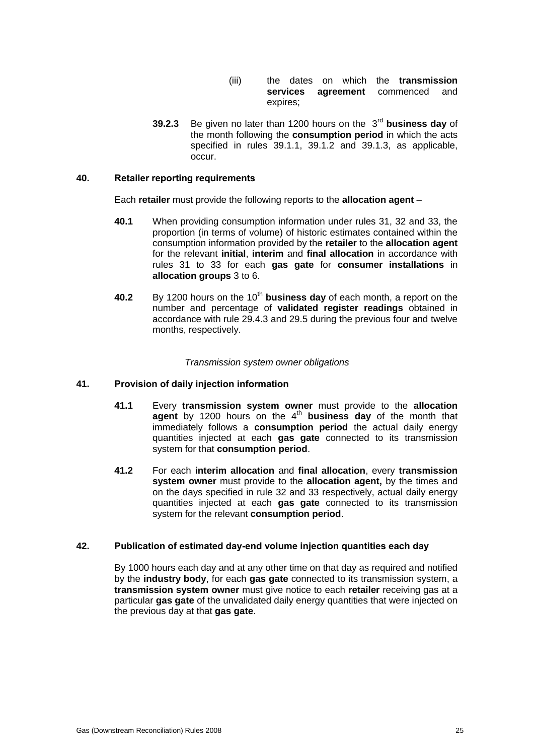- (iii) the dates on which the **transmission services agreement** commenced and expires;
- **39.2.3** Be given no later than 1200 hours on the 3rd **business day** of the month following the **consumption period** in which the acts specified in rules 39.1.1, 39.1.2 and 39.1.3, as applicable, occur.

### **40. Retailer reporting requirements**

Each **retailer** must provide the following reports to the **allocation agent** –

- **40.1** When providing consumption information under rules 31, 32 and 33, the proportion (in terms of volume) of historic estimates contained within the consumption information provided by the **retailer** to the **allocation agent** for the relevant **initial**, **interim** and **final allocation** in accordance with rules 31 to 33 for each **gas gate** for **consumer installations** in **allocation groups** 3 to 6.
- **40.2** By 1200 hours on the 10<sup>th</sup> business day of each month, a report on the number and percentage of **validated register readings** obtained in accordance with rule 29.4.3 and 29.5 during the previous four and twelve months, respectively.

#### *Transmission system owner obligations*

#### **41. Provision of daily injection information**

- **41.1** Every **transmission system owner** must provide to the **allocation agent** by 1200 hours on the 4<sup>th</sup> business day of the month that immediately follows a **consumption period** the actual daily energy quantities injected at each **gas gate** connected to its transmission system for that **consumption period**.
- **41.2** For each **interim allocation** and **final allocation**, every **transmission system owner** must provide to the **allocation agent,** by the times and on the days specified in rule 32 and 33 respectively, actual daily energy quantities injected at each **gas gate** connected to its transmission system for the relevant **consumption period**.

### **42. Publication of estimated day-end volume injection quantities each day**

By 1000 hours each day and at any other time on that day as required and notified by the **industry body**, for each **gas gate** connected to its transmission system, a **transmission system owner** must give notice to each **retailer** receiving gas at a particular **gas gate** of the unvalidated daily energy quantities that were injected on the previous day at that **gas gate**.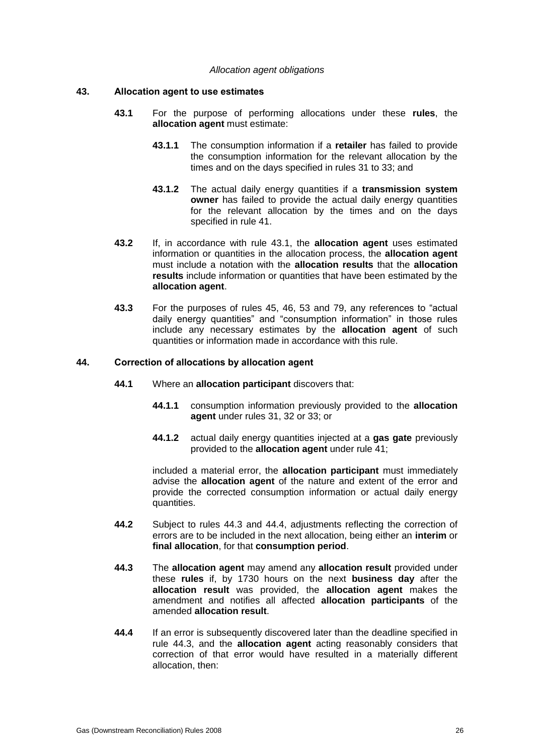#### *Allocation agent obligations*

### **43. Allocation agent to use estimates**

- **43.1** For the purpose of performing allocations under these **rules**, the **allocation agent** must estimate:
	- **43.1.1** The consumption information if a **retailer** has failed to provide the consumption information for the relevant allocation by the times and on the days specified in rules 31 to 33; and
	- **43.1.2** The actual daily energy quantities if a **transmission system owner** has failed to provide the actual daily energy quantities for the relevant allocation by the times and on the days specified in rule 41.
- **43.2** If, in accordance with rule 43.1, the **allocation agent** uses estimated information or quantities in the allocation process, the **allocation agent** must include a notation with the **allocation results** that the **allocation results** include information or quantities that have been estimated by the **allocation agent**.
- **43.3** For the purposes of rules 45, 46, 53 and 79, any references to "actual daily energy quantities" and "consumption information" in those rules include any necessary estimates by the **allocation agent** of such quantities or information made in accordance with this rule.

### **44. Correction of allocations by allocation agent**

- **44.1** Where an **allocation participant** discovers that:
	- **44.1.1** consumption information previously provided to the **allocation agent** under rules 31, 32 or 33; or
	- **44.1.2** actual daily energy quantities injected at a **gas gate** previously provided to the **allocation agent** under rule 41;

included a material error, the **allocation participant** must immediately advise the **allocation agent** of the nature and extent of the error and provide the corrected consumption information or actual daily energy quantities.

- **44.2** Subject to rules 44.3 and 44.4, adjustments reflecting the correction of errors are to be included in the next allocation, being either an **interim** or **final allocation**, for that **consumption period**.
- **44.3** The **allocation agent** may amend any **allocation result** provided under these **rules** if, by 1730 hours on the next **business day** after the **allocation result** was provided, the **allocation agent** makes the amendment and notifies all affected **allocation participants** of the amended **allocation result**.
- **44.4** If an error is subsequently discovered later than the deadline specified in rule 44.3, and the **allocation agent** acting reasonably considers that correction of that error would have resulted in a materially different allocation, then: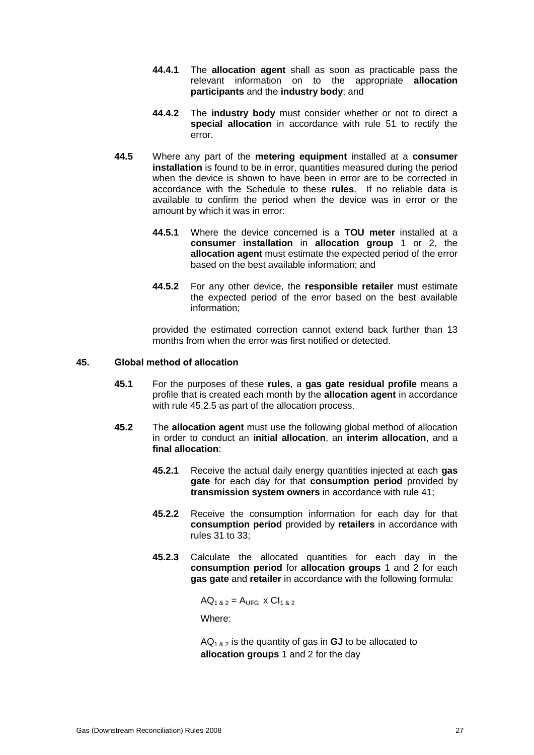- **44.4.1** The **allocation agent** shall as soon as practicable pass the relevant information on to the appropriate **allocation participants** and the **industry body**; and
- **44.4.2** The **industry body** must consider whether or not to direct a **special allocation** in accordance with rule 51 to rectify the error.
- **44.5** Where any part of the **metering equipment** installed at a **consumer installation** is found to be in error, quantities measured during the period when the device is shown to have been in error are to be corrected in accordance with the Schedule to these **rules**. If no reliable data is available to confirm the period when the device was in error or the amount by which it was in error:
	- **44.5.1** Where the device concerned is a **TOU meter** installed at a **consumer installation** in **allocation group** 1 or 2, the **allocation agent** must estimate the expected period of the error based on the best available information; and
	- **44.5.2** For any other device, the **responsible retailer** must estimate the expected period of the error based on the best available information;

provided the estimated correction cannot extend back further than 13 months from when the error was first notified or detected.

### **45. Global method of allocation**

- **45.1** For the purposes of these **rules**, a **gas gate residual profile** means a profile that is created each month by the **allocation agent** in accordance with rule 45.2.5 as part of the allocation process.
- **45.2** The **allocation agent** must use the following global method of allocation in order to conduct an **initial allocation**, an **interim allocation**, and a **final allocation**:
	- **45.2.1** Receive the actual daily energy quantities injected at each **gas gate** for each day for that **consumption period** provided by **transmission system owners** in accordance with rule 41;
	- **45.2.2** Receive the consumption information for each day for that **consumption period** provided by **retailers** in accordance with rules 31 to 33;
	- **45.2.3** Calculate the allocated quantities for each day in the **consumption period** for **allocation groups** 1 and 2 for each **gas gate** and **retailer** in accordance with the following formula:

 $AQ_{1,8,2} = A_{UFG} \times Cl_{1,8,2}$ 

Where:

 $AQ<sub>1</sub>_{8,2}$  is the quantity of gas in **GJ** to be allocated to **allocation groups** 1 and 2 for the day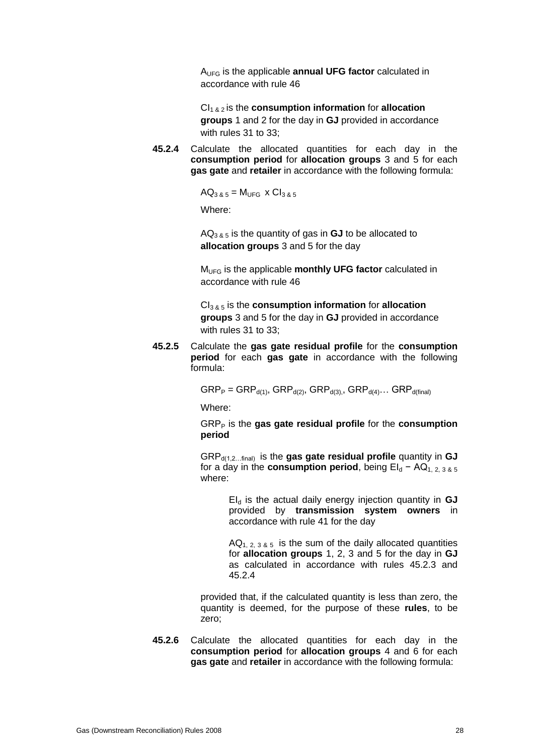AUFG is the applicable **annual UFG factor** calculated in accordance with rule 46

CI1 & 2 is the **consumption information** for **allocation groups** 1 and 2 for the day in **GJ** provided in accordance with rules 31 to 33;

**45.2.4** Calculate the allocated quantities for each day in the **consumption period** for **allocation groups** 3 and 5 for each **gas gate** and **retailer** in accordance with the following formula:

 $AQ_{385} = M_{UFG} \times Cl_{385}$ 

Where:

 $AQ_{3,8,5}$  is the quantity of gas in **GJ** to be allocated to **allocation groups** 3 and 5 for the day

MUFG is the applicable **monthly UFG factor** calculated in accordance with rule 46

CI3 & 5 is the **consumption information** for **allocation groups** 3 and 5 for the day in **GJ** provided in accordance with rules 31 to 33;

**45.2.5** Calculate the **gas gate residual profile** for the **consumption period** for each **gas gate** in accordance with the following formula:

 $\text{GRP}_P = \text{GRP}_{d(1)}$ ,  $\text{GRP}_{d(2)}$ ,  $\text{GRP}_{d(3)}$ ,  $\text{GRP}_{d(4)}$ ...  $\text{GRP}_{d(final)}$ 

Where:

GRP<sup>P</sup> is the **gas gate residual profile** for the **consumption period**

GRPd(1,2…final) is the **gas gate residual profile** quantity in **GJ** for a day in the **consumption period**, being  $E|_d - AQ_1$ , 2, 3 & 5 where:

> EI<sup>d</sup> is the actual daily energy injection quantity in **GJ** provided by **transmission system owners** in accordance with rule 41 for the day

> $AQ_{1, 2, 3, 8, 5}$  is the sum of the daily allocated quantities for **allocation groups** 1, 2, 3 and 5 for the day in **GJ** as calculated in accordance with rules 45.2.3 and 45.2.4

provided that, if the calculated quantity is less than zero, the quantity is deemed, for the purpose of these **rules**, to be zero;

**45.2.6** Calculate the allocated quantities for each day in the **consumption period** for **allocation groups** 4 and 6 for each **gas gate** and **retailer** in accordance with the following formula: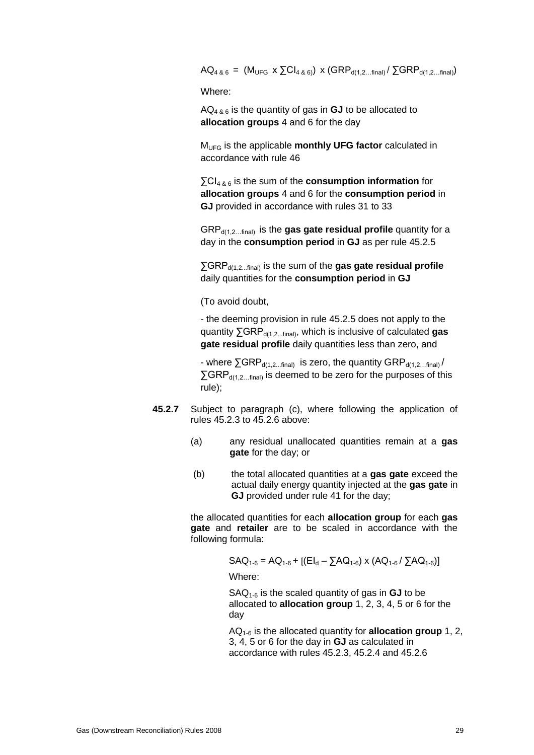$AQ_{4, 8, 6} = (M_{UFG} \times \Sigma Cl_{4, 8, 6}) \times (GRP_{d(1, 2...final)} / \Sigma GRP_{d(1, 2...final)})$ 

Where:

AQ4 & 6 is the quantity of gas in **GJ** to be allocated to **allocation groups** 4 and 6 for the day

MUFG is the applicable **monthly UFG factor** calculated in accordance with rule 46

∑CI4 & 6 is the sum of the **consumption information** for **allocation groups** 4 and 6 for the **consumption period** in **GJ** provided in accordance with rules 31 to 33

GRPd(1,2…final) is the **gas gate residual profile** quantity for a day in the **consumption period** in **GJ** as per rule 45.2.5

∑GRP<sub>d(1,2...final)</sub> is the sum of the gas gate residual profile daily quantities for the **consumption period** in **GJ**

(To avoid doubt,

- the deeming provision in rule 45.2.5 does not apply to the quantity ∑GRP<sub>d(1,2...final)</sub>, which is inclusive of calculated **gas gate residual profile** daily quantities less than zero, and

- where  $\Sigma$ GRP<sub>d(1,2...final)</sub> is zero, the quantity GRP<sub>d(1,2...final)</sub>/  $\Sigma$ GRP<sub>d(1,2…final)</sub> is deemed to be zero for the purposes of this rule);

- **45.2.7** Subject to paragraph (c), where following the application of rules 45.2.3 to 45.2.6 above:
	- (a) any residual unallocated quantities remain at a **gas gate** for the day; or
	- (b) the total allocated quantities at a **gas gate** exceed the actual daily energy quantity injected at the **gas gate** in **GJ** provided under rule 41 for the day;

the allocated quantities for each **allocation group** for each **gas gate** and **retailer** are to be scaled in accordance with the following formula:

$$
SAQ_{1-6} = AQ_{1-6} + [(El_d - \sum AQ_{1-6}) \times (AQ_{1-6} / \sum AQ_{1-6})]
$$

Where:

SAQ1-6 is the scaled quantity of gas in **GJ** to be allocated to **allocation group** 1, 2, 3, 4, 5 or 6 for the day

AQ1-6 is the allocated quantity for **allocation group** 1, 2, 3, 4, 5 or 6 for the day in **GJ** as calculated in accordance with rules 45.2.3, 45.2.4 and 45.2.6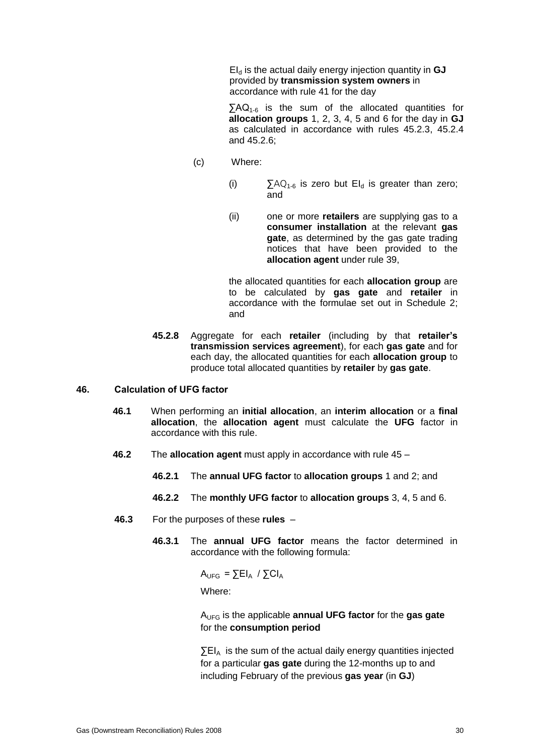EI<sup>d</sup> is the actual daily energy injection quantity in **GJ** provided by **transmission system owners** in accordance with rule 41 for the day

 $\sum AQ_{1.6}$  is the sum of the allocated quantities for **allocation groups** 1, 2, 3, 4, 5 and 6 for the day in **GJ** as calculated in accordance with rules 45.2.3, 45.2.4 and 45.2.6;

- (c) Where:
	- (i)  $\sum AQ_{1-6}$  is zero but EI<sub>d</sub> is greater than zero; and
	- (ii) one or more **retailers** are supplying gas to a **consumer installation** at the relevant **gas gate**, as determined by the gas gate trading notices that have been provided to the **allocation agent** under rule 39,

the allocated quantities for each **allocation group** are to be calculated by **gas gate** and **retailer** in accordance with the formulae set out in Schedule 2; and

**45.2.8** Aggregate for each **retailer** (including by that **retailer's transmission services agreement**), for each **gas gate** and for each day, the allocated quantities for each **allocation group** to produce total allocated quantities by **retailer** by **gas gate**.

#### **46. Calculation of UFG factor**

- **46.1** When performing an **initial allocation**, an **interim allocation** or a **final allocation**, the **allocation agent** must calculate the **UFG** factor in accordance with this rule.
- **46.2** The **allocation agent** must apply in accordance with rule 45
	- **46.2.1** The **annual UFG factor** to **allocation groups** 1 and 2; and
	- **46.2.2** The **monthly UFG factor** to **allocation groups** 3, 4, 5 and 6.
- **46.3** For the purposes of these **rules**
	- **46.3.1** The **annual UFG factor** means the factor determined in accordance with the following formula:

 $A_{UFG} = \sum E I_A / \sum C I_A$ 

Where:

AUFG is the applicable **annual UFG factor** for the **gas gate**  for the **consumption period**

 $\Sigma$ EI<sub>A</sub> is the sum of the actual daily energy quantities injected for a particular **gas gate** during the 12-months up to and including February of the previous **gas year** (in **GJ**)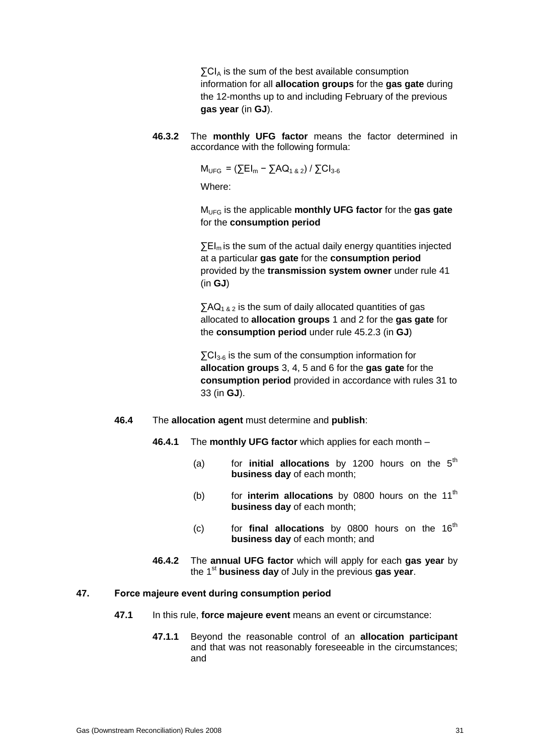$\Sigma$ CI<sub>A</sub> is the sum of the best available consumption information for all **allocation groups** for the **gas gate** during the 12-months up to and including February of the previous **gas year** (in **GJ**).

**46.3.2** The **monthly UFG factor** means the factor determined in accordance with the following formula:

 $M_{UFG} = (\sum EI_m - \sum AQ_{1 & 2}) / \sum Cl_{3-6}$ 

Where:

MUFG is the applicable **monthly UFG factor** for the **gas gate**  for the **consumption period**

 $\Sigma$ EI<sub>m</sub> is the sum of the actual daily energy quantities injected at a particular **gas gate** for the **consumption period** provided by the **transmission system owner** under rule 41 (in **GJ**)

 $\sum AQ_{1,8,2}$  is the sum of daily allocated quantities of gas allocated to **allocation groups** 1 and 2 for the **gas gate** for the **consumption period** under rule 45.2.3 (in **GJ**)

 $\Sigma$ CI<sub>3-6</sub> is the sum of the consumption information for **allocation groups** 3, 4, 5 and 6 for the **gas gate** for the **consumption period** provided in accordance with rules 31 to 33 (in **GJ**).

- **46.4** The **allocation agent** must determine and **publish**:
	- **46.4.1** The **monthly UFG factor** which applies for each month
		- (a) for **initial allocations** by 1200 hours on the  $5<sup>th</sup>$ **business day** of each month;
		- (b) for **interim allocations** by 0800 hours on the 11<sup>th</sup> **business day** of each month;
		- (c) for **final allocations** by 0800 hours on the  $16<sup>th</sup>$ **business day** of each month; and
	- **46.4.2** The **annual UFG factor** which will apply for each **gas year** by the 1<sup>st</sup> business day of July in the previous gas year.

### **47. Force majeure event during consumption period**

- **47.1** In this rule, **force majeure event** means an event or circumstance:
	- **47.1.1** Beyond the reasonable control of an **allocation participant** and that was not reasonably foreseeable in the circumstances; and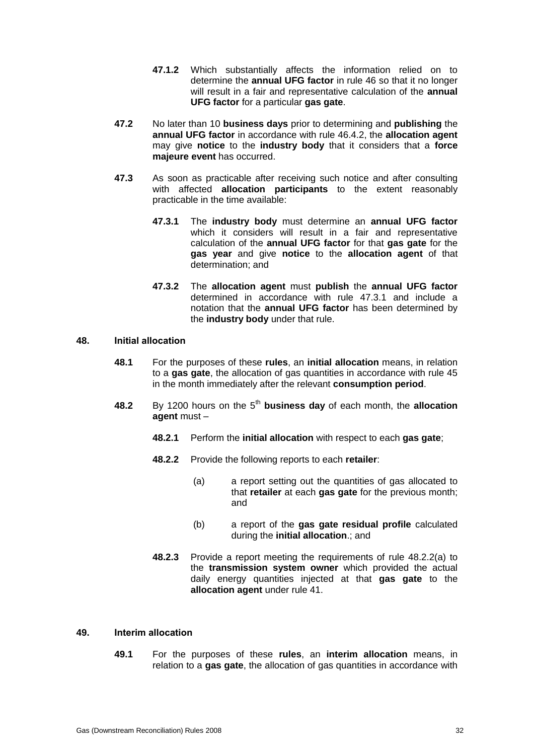- **47.1.2** Which substantially affects the information relied on to determine the **annual UFG factor** in rule 46 so that it no longer will result in a fair and representative calculation of the **annual UFG factor** for a particular **gas gate**.
- **47.2** No later than 10 **business days** prior to determining and **publishing** the **annual UFG factor** in accordance with rule 46.4.2, the **allocation agent** may give **notice** to the **industry body** that it considers that a **force majeure event** has occurred.
- **47.3** As soon as practicable after receiving such notice and after consulting with affected **allocation participants** to the extent reasonably practicable in the time available:
	- **47.3.1** The **industry body** must determine an **annual UFG factor** which it considers will result in a fair and representative calculation of the **annual UFG factor** for that **gas gate** for the **gas year** and give **notice** to the **allocation agent** of that determination; and
	- **47.3.2** The **allocation agent** must **publish** the **annual UFG factor** determined in accordance with rule 47.3.1 and include a notation that the **annual UFG factor** has been determined by the **industry body** under that rule.

### **48. Initial allocation**

- **48.1** For the purposes of these **rules**, an **initial allocation** means, in relation to a **gas gate**, the allocation of gas quantities in accordance with rule 45 in the month immediately after the relevant **consumption period**.
- **48.2** By 1200 hours on the 5<sup>th</sup> business day of each month, the allocation **agent** must –
	- **48.2.1** Perform the **initial allocation** with respect to each **gas gate**;
	- **48.2.2** Provide the following reports to each **retailer**:
		- (a) a report setting out the quantities of gas allocated to that **retailer** at each **gas gate** for the previous month; and
		- (b) a report of the **gas gate residual profile** calculated during the **initial allocation**.; and
	- **48.2.3** Provide a report meeting the requirements of rule 48.2.2(a) to the **transmission system owner** which provided the actual daily energy quantities injected at that **gas gate** to the **allocation agent** under rule 41.

### **49. Interim allocation**

**49.1** For the purposes of these **rules**, an **interim allocation** means, in relation to a **gas gate**, the allocation of gas quantities in accordance with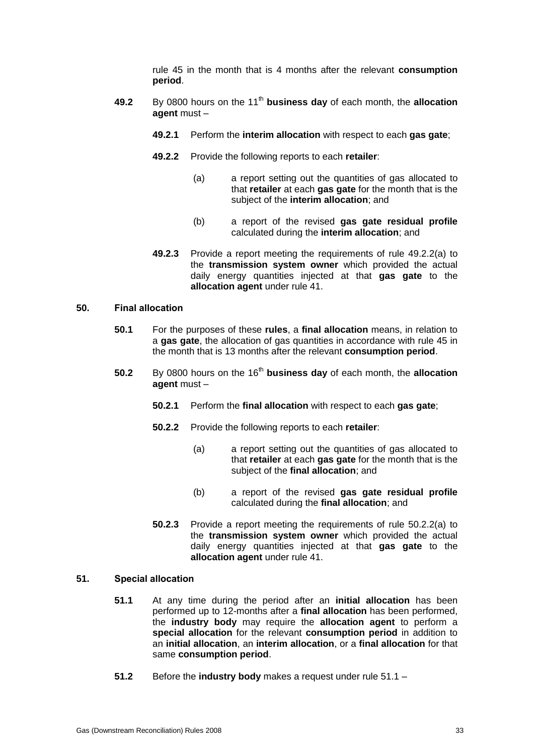rule 45 in the month that is 4 months after the relevant **consumption period**.

- **49.2** By 0800 hours on the 11<sup>th</sup> business day of each month, the allocation **agent** must –
	- **49.2.1** Perform the **interim allocation** with respect to each **gas gate**;
	- **49.2.2** Provide the following reports to each **retailer**:
		- (a) a report setting out the quantities of gas allocated to that **retailer** at each **gas gate** for the month that is the subject of the **interim allocation**; and
		- (b) a report of the revised **gas gate residual profile** calculated during the **interim allocation**; and
	- **49.2.3** Provide a report meeting the requirements of rule 49.2.2(a) to the **transmission system owner** which provided the actual daily energy quantities injected at that **gas gate** to the **allocation agent** under rule 41.

### **50. Final allocation**

- **50.1** For the purposes of these **rules**, a **final allocation** means, in relation to a **gas gate**, the allocation of gas quantities in accordance with rule 45 in the month that is 13 months after the relevant **consumption period**.
- **50.2** By 0800 hours on the 16<sup>th</sup> business day of each month, the allocation **agent** must –
	- **50.2.1** Perform the **final allocation** with respect to each **gas gate**;
	- **50.2.2** Provide the following reports to each **retailer**:
		- (a) a report setting out the quantities of gas allocated to that **retailer** at each **gas gate** for the month that is the subject of the **final allocation**; and
		- (b) a report of the revised **gas gate residual profile** calculated during the **final allocation**; and
	- **50.2.3** Provide a report meeting the requirements of rule 50.2.2(a) to the **transmission system owner** which provided the actual daily energy quantities injected at that **gas gate** to the **allocation agent** under rule 41.

### **51. Special allocation**

- **51.1** At any time during the period after an **initial allocation** has been performed up to 12-months after a **final allocation** has been performed, the **industry body** may require the **allocation agent** to perform a **special allocation** for the relevant **consumption period** in addition to an **initial allocation**, an **interim allocation**, or a **final allocation** for that same **consumption period**.
- **51.2** Before the **industry body** makes a request under rule 51.1 –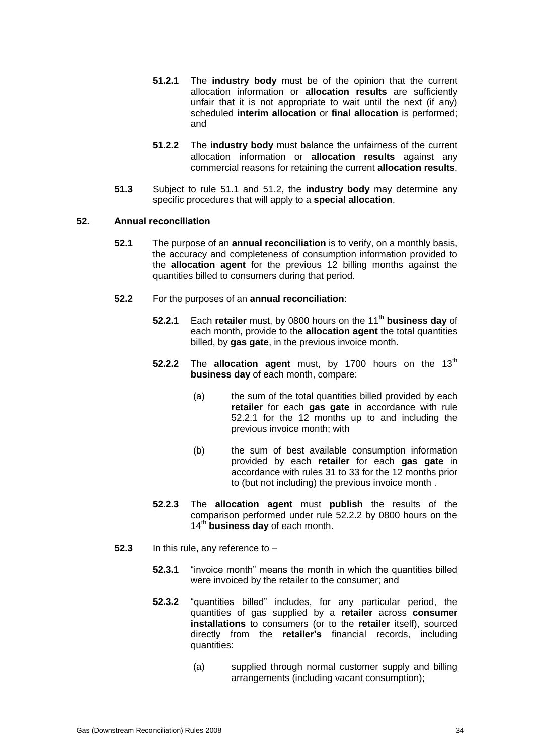- **51.2.1** The **industry body** must be of the opinion that the current allocation information or **allocation results** are sufficiently unfair that it is not appropriate to wait until the next (if any) scheduled **interim allocation** or **final allocation** is performed; and
- **51.2.2** The **industry body** must balance the unfairness of the current allocation information or **allocation results** against any commercial reasons for retaining the current **allocation results**.
- **51.3** Subject to rule 51.1 and 51.2, the **industry body** may determine any specific procedures that will apply to a **special allocation**.

### **52. Annual reconciliation**

- **52.1** The purpose of an **annual reconciliation** is to verify, on a monthly basis, the accuracy and completeness of consumption information provided to the **allocation agent** for the previous 12 billing months against the quantities billed to consumers during that period.
- **52.2** For the purposes of an **annual reconciliation**:
	- **52.2.1** Each **retailer** must, by 0800 hours on the 11<sup>th</sup> business day of each month, provide to the **allocation agent** the total quantities billed, by **gas gate**, in the previous invoice month.
	- **52.2.2** The **allocation agent** must, by 1700 hours on the 13<sup>th</sup> **business day** of each month, compare:
		- (a) the sum of the total quantities billed provided by each **retailer** for each **gas gate** in accordance with rule 52.2.1 for the 12 months up to and including the previous invoice month; with
		- (b) the sum of best available consumption information provided by each **retailer** for each **gas gate** in accordance with rules 31 to 33 for the 12 months prior to (but not including) the previous invoice month .
	- **52.2.3** The **allocation agent** must **publish** the results of the comparison performed under rule 52.2.2 by 0800 hours on the 14<sup>th</sup> business day of each month.
- **52.3** In this rule, any reference to
	- **52.3.1** "invoice month" means the month in which the quantities billed were invoiced by the retailer to the consumer; and
	- **52.3.2** "quantities billed" includes, for any particular period, the quantities of gas supplied by a **retailer** across **consumer installations** to consumers (or to the **retailer** itself), sourced directly from the **retailer's** financial records, including quantities:
		- (a) supplied through normal customer supply and billing arrangements (including vacant consumption);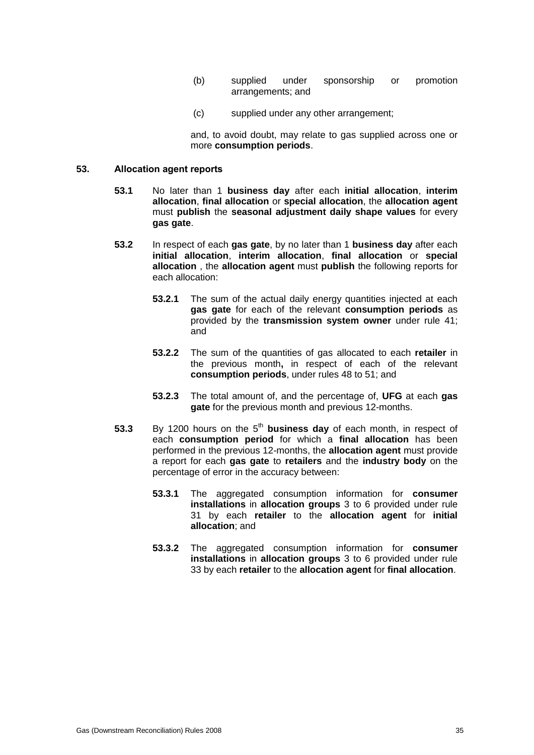- (b) supplied under sponsorship or promotion arrangements; and
- (c) supplied under any other arrangement;

and, to avoid doubt, may relate to gas supplied across one or more **consumption periods**.

#### **53. Allocation agent reports**

- **53.1** No later than 1 **business day** after each **initial allocation**, **interim allocation**, **final allocation** or **special allocation**, the **allocation agent** must **publish** the **seasonal adjustment daily shape values** for every **gas gate**.
- **53.2** In respect of each **gas gate**, by no later than 1 **business day** after each **initial allocation**, **interim allocation**, **final allocation** or **special allocation** , the **allocation agent** must **publish** the following reports for each allocation:
	- **53.2.1** The sum of the actual daily energy quantities injected at each **gas gate** for each of the relevant **consumption periods** as provided by the **transmission system owner** under rule 41; and
	- **53.2.2** The sum of the quantities of gas allocated to each **retailer** in the previous month**,** in respect of each of the relevant **consumption periods**, under rules 48 to 51; and
	- **53.2.3** The total amount of, and the percentage of, **UFG** at each **gas gate** for the previous month and previous 12-months.
- **53.3** By 1200 hours on the 5<sup>th</sup> business day of each month, in respect of each **consumption period** for which a **final allocation** has been performed in the previous 12-months, the **allocation agent** must provide a report for each **gas gate** to **retailers** and the **industry body** on the percentage of error in the accuracy between:
	- **53.3.1** The aggregated consumption information for **consumer installations** in **allocation groups** 3 to 6 provided under rule 31 by each **retailer** to the **allocation agent** for **initial allocation**; and
	- **53.3.2** The aggregated consumption information for **consumer installations** in **allocation groups** 3 to 6 provided under rule 33 by each **retailer** to the **allocation agent** for **final allocation**.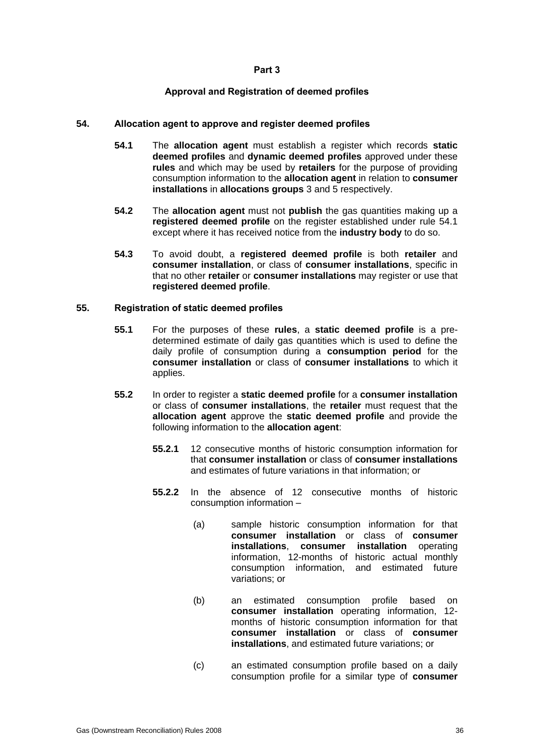### **Part 3**

### **Approval and Registration of deemed profiles**

### **54. Allocation agent to approve and register deemed profiles**

- **54.1** The **allocation agent** must establish a register which records **static deemed profiles** and **dynamic deemed profiles** approved under these **rules** and which may be used by **retailers** for the purpose of providing consumption information to the **allocation agent** in relation to **consumer installations** in **allocations groups** 3 and 5 respectively.
- **54.2** The **allocation agent** must not **publish** the gas quantities making up a **registered deemed profile** on the register established under rule 54.1 except where it has received notice from the **industry body** to do so.
- **54.3** To avoid doubt, a **registered deemed profile** is both **retailer** and **consumer installation**, or class of **consumer installations**, specific in that no other **retailer** or **consumer installations** may register or use that **registered deemed profile**.

### **55. Registration of static deemed profiles**

- **55.1** For the purposes of these **rules**, a **static deemed profile** is a predetermined estimate of daily gas quantities which is used to define the daily profile of consumption during a **consumption period** for the **consumer installation** or class of **consumer installations** to which it applies.
- **55.2** In order to register a **static deemed profile** for a **consumer installation** or class of **consumer installations**, the **retailer** must request that the **allocation agent** approve the **static deemed profile** and provide the following information to the **allocation agent**:
	- **55.2.1** 12 consecutive months of historic consumption information for that **consumer installation** or class of **consumer installations** and estimates of future variations in that information; or
	- **55.2.2** In the absence of 12 consecutive months of historic consumption information –
		- (a) sample historic consumption information for that **consumer installation** or class of **consumer installations**, **consumer installation** operating information, 12-months of historic actual monthly consumption information, and estimated future variations; or
		- (b) an estimated consumption profile based on **consumer installation** operating information, 12 months of historic consumption information for that **consumer installation** or class of **consumer installations**, and estimated future variations; or
		- (c) an estimated consumption profile based on a daily consumption profile for a similar type of **consumer**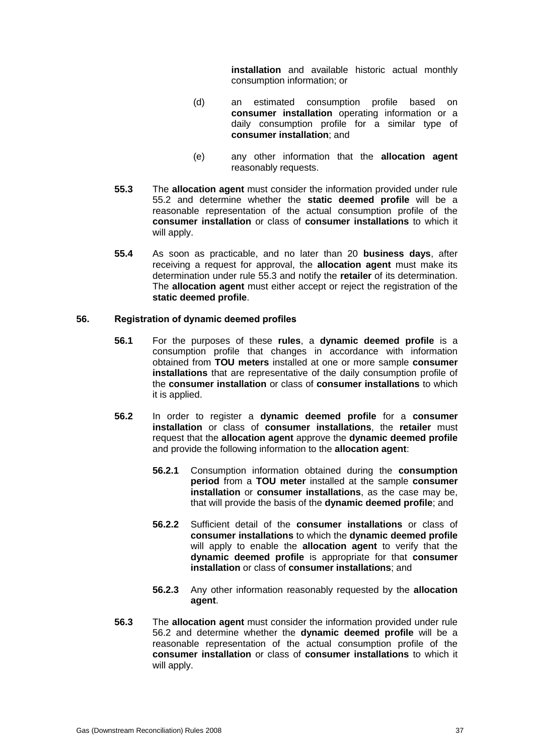**installation** and available historic actual monthly consumption information; or

- (d) an estimated consumption profile based on **consumer installation** operating information or a daily consumption profile for a similar type of **consumer installation**; and
- (e) any other information that the **allocation agent** reasonably requests.
- **55.3** The **allocation agent** must consider the information provided under rule 55.2 and determine whether the **static deemed profile** will be a reasonable representation of the actual consumption profile of the **consumer installation** or class of **consumer installations** to which it will apply.
- **55.4** As soon as practicable, and no later than 20 **business days**, after receiving a request for approval, the **allocation agent** must make its determination under rule 55.3 and notify the **retailer** of its determination. The **allocation agent** must either accept or reject the registration of the **static deemed profile**.

### **56. Registration of dynamic deemed profiles**

- **56.1** For the purposes of these **rules**, a **dynamic deemed profile** is a consumption profile that changes in accordance with information obtained from **TOU meters** installed at one or more sample **consumer installations** that are representative of the daily consumption profile of the **consumer installation** or class of **consumer installations** to which it is applied.
- **56.2** In order to register a **dynamic deemed profile** for a **consumer installation** or class of **consumer installations**, the **retailer** must request that the **allocation agent** approve the **dynamic deemed profile** and provide the following information to the **allocation agent**:
	- **56.2.1** Consumption information obtained during the **consumption period** from a **TOU meter** installed at the sample **consumer installation** or **consumer installations**, as the case may be, that will provide the basis of the **dynamic deemed profile**; and
	- **56.2.2** Sufficient detail of the **consumer installations** or class of **consumer installations** to which the **dynamic deemed profile** will apply to enable the **allocation agent** to verify that the **dynamic deemed profile** is appropriate for that **consumer installation** or class of **consumer installations**; and
	- **56.2.3** Any other information reasonably requested by the **allocation agent**.
- **56.3** The **allocation agent** must consider the information provided under rule 56.2 and determine whether the **dynamic deemed profile** will be a reasonable representation of the actual consumption profile of the **consumer installation** or class of **consumer installations** to which it will apply.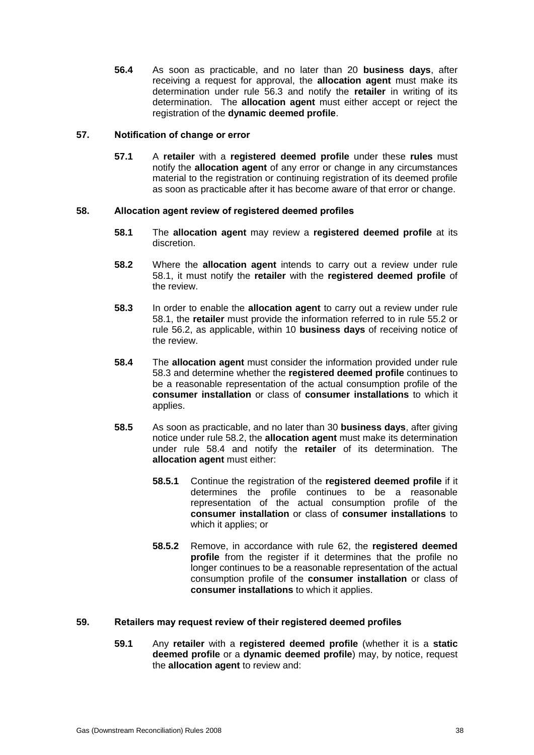**56.4** As soon as practicable, and no later than 20 **business days**, after receiving a request for approval, the **allocation agent** must make its determination under rule 56.3 and notify the **retailer** in writing of its determination. The **allocation agent** must either accept or reject the registration of the **dynamic deemed profile**.

### **57. Notification of change or error**

**57.1** A **retailer** with a **registered deemed profile** under these **rules** must notify the **allocation agent** of any error or change in any circumstances material to the registration or continuing registration of its deemed profile as soon as practicable after it has become aware of that error or change.

### **58. Allocation agent review of registered deemed profiles**

- **58.1** The **allocation agent** may review a **registered deemed profile** at its discretion.
- **58.2** Where the **allocation agent** intends to carry out a review under rule 58.1, it must notify the **retailer** with the **registered deemed profile** of the review.
- **58.3** In order to enable the **allocation agent** to carry out a review under rule 58.1, the **retailer** must provide the information referred to in rule 55.2 or rule 56.2, as applicable, within 10 **business days** of receiving notice of the review.
- **58.4** The **allocation agent** must consider the information provided under rule 58.3 and determine whether the **registered deemed profile** continues to be a reasonable representation of the actual consumption profile of the **consumer installation** or class of **consumer installations** to which it applies.
- **58.5** As soon as practicable, and no later than 30 **business days**, after giving notice under rule 58.2, the **allocation agent** must make its determination under rule 58.4 and notify the **retailer** of its determination. The **allocation agent** must either:
	- **58.5.1** Continue the registration of the **registered deemed profile** if it determines the profile continues to be a reasonable representation of the actual consumption profile of the **consumer installation** or class of **consumer installations** to which it applies; or
	- **58.5.2** Remove, in accordance with rule 62, the **registered deemed profile** from the register if it determines that the profile no longer continues to be a reasonable representation of the actual consumption profile of the **consumer installation** or class of **consumer installations** to which it applies.

### **59. Retailers may request review of their registered deemed profiles**

**59.1** Any **retailer** with a **registered deemed profile** (whether it is a **static deemed profile** or a **dynamic deemed profile**) may, by notice, request the **allocation agent** to review and: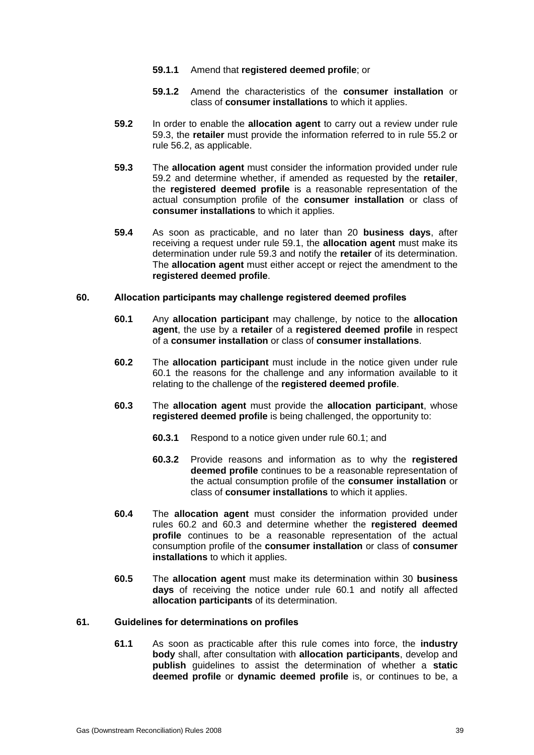- **59.1.1** Amend that **registered deemed profile**; or
- **59.1.2** Amend the characteristics of the **consumer installation** or class of **consumer installations** to which it applies.
- **59.2** In order to enable the **allocation agent** to carry out a review under rule 59.3, the **retailer** must provide the information referred to in rule 55.2 or rule 56.2, as applicable.
- **59.3** The **allocation agent** must consider the information provided under rule 59.2 and determine whether, if amended as requested by the **retailer**, the **registered deemed profile** is a reasonable representation of the actual consumption profile of the **consumer installation** or class of **consumer installations** to which it applies.
- **59.4** As soon as practicable, and no later than 20 **business days**, after receiving a request under rule 59.1, the **allocation agent** must make its determination under rule 59.3 and notify the **retailer** of its determination. The **allocation agent** must either accept or reject the amendment to the **registered deemed profile**.

### **60. Allocation participants may challenge registered deemed profiles**

- **60.1** Any **allocation participant** may challenge, by notice to the **allocation agent**, the use by a **retailer** of a **registered deemed profile** in respect of a **consumer installation** or class of **consumer installations**.
- **60.2** The **allocation participant** must include in the notice given under rule 60.1 the reasons for the challenge and any information available to it relating to the challenge of the **registered deemed profile**.
- **60.3** The **allocation agent** must provide the **allocation participant**, whose **registered deemed profile** is being challenged, the opportunity to:
	- **60.3.1** Respond to a notice given under rule 60.1; and
	- **60.3.2** Provide reasons and information as to why the **registered deemed profile** continues to be a reasonable representation of the actual consumption profile of the **consumer installation** or class of **consumer installations** to which it applies.
- **60.4** The **allocation agent** must consider the information provided under rules 60.2 and 60.3 and determine whether the **registered deemed profile** continues to be a reasonable representation of the actual consumption profile of the **consumer installation** or class of **consumer installations** to which it applies.
- **60.5** The **allocation agent** must make its determination within 30 **business days** of receiving the notice under rule 60.1 and notify all affected **allocation participants** of its determination.

#### **61. Guidelines for determinations on profiles**

**61.1** As soon as practicable after this rule comes into force, the **industry body** shall, after consultation with **allocation participants**, develop and **publish** guidelines to assist the determination of whether a **static deemed profile** or **dynamic deemed profile** is, or continues to be, a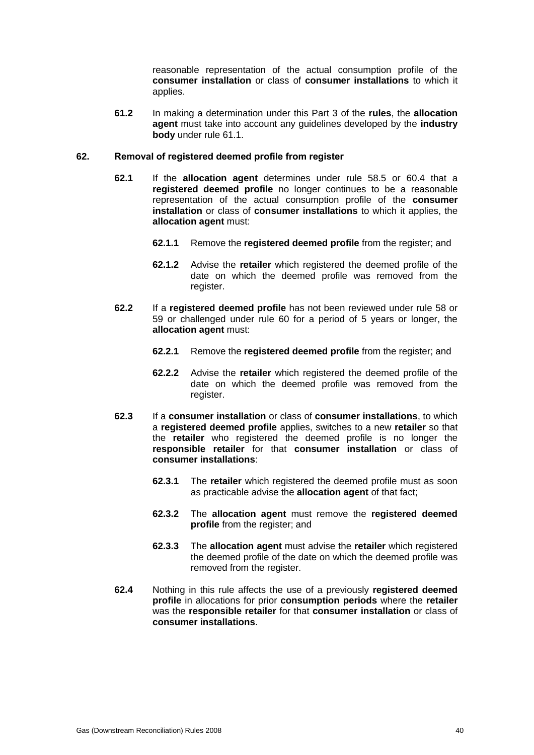reasonable representation of the actual consumption profile of the **consumer installation** or class of **consumer installations** to which it applies.

**61.2** In making a determination under this Part 3 of the **rules**, the **allocation agent** must take into account any guidelines developed by the **industry body** under rule 61.1.

### **62. Removal of registered deemed profile from register**

- **62.1** If the **allocation agent** determines under rule 58.5 or 60.4 that a **registered deemed profile** no longer continues to be a reasonable representation of the actual consumption profile of the **consumer installation** or class of **consumer installations** to which it applies, the **allocation agent** must:
	- **62.1.1** Remove the **registered deemed profile** from the register; and
	- **62.1.2** Advise the **retailer** which registered the deemed profile of the date on which the deemed profile was removed from the register.
- **62.2** If a **registered deemed profile** has not been reviewed under rule 58 or 59 or challenged under rule 60 for a period of 5 years or longer, the **allocation agent** must:
	- **62.2.1** Remove the **registered deemed profile** from the register; and
	- **62.2.2** Advise the **retailer** which registered the deemed profile of the date on which the deemed profile was removed from the register.
- **62.3** If a **consumer installation** or class of **consumer installations**, to which a **registered deemed profile** applies, switches to a new **retailer** so that the **retailer** who registered the deemed profile is no longer the **responsible retailer** for that **consumer installation** or class of **consumer installations**:
	- **62.3.1** The **retailer** which registered the deemed profile must as soon as practicable advise the **allocation agent** of that fact;
	- **62.3.2** The **allocation agent** must remove the **registered deemed profile** from the register; and
	- **62.3.3** The **allocation agent** must advise the **retailer** which registered the deemed profile of the date on which the deemed profile was removed from the register.
- **62.4** Nothing in this rule affects the use of a previously **registered deemed profile** in allocations for prior **consumption periods** where the **retailer** was the **responsible retailer** for that **consumer installation** or class of **consumer installations**.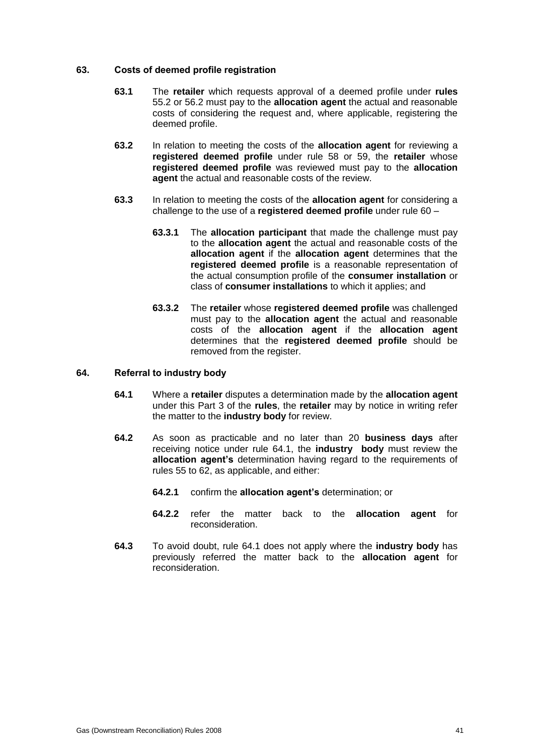### **63. Costs of deemed profile registration**

- **63.1** The **retailer** which requests approval of a deemed profile under **rules** 55.2 or 56.2 must pay to the **allocation agent** the actual and reasonable costs of considering the request and, where applicable, registering the deemed profile.
- **63.2** In relation to meeting the costs of the **allocation agent** for reviewing a **registered deemed profile** under rule 58 or 59, the **retailer** whose **registered deemed profile** was reviewed must pay to the **allocation agent** the actual and reasonable costs of the review.
- **63.3** In relation to meeting the costs of the **allocation agent** for considering a challenge to the use of a **registered deemed profile** under rule 60 –
	- **63.3.1** The **allocation participant** that made the challenge must pay to the **allocation agent** the actual and reasonable costs of the **allocation agent** if the **allocation agent** determines that the **registered deemed profile** is a reasonable representation of the actual consumption profile of the **consumer installation** or class of **consumer installations** to which it applies; and
	- **63.3.2** The **retailer** whose **registered deemed profile** was challenged must pay to the **allocation agent** the actual and reasonable costs of the **allocation agent** if the **allocation agent** determines that the **registered deemed profile** should be removed from the register.

#### **64. Referral to industry body**

- **64.1** Where a **retailer** disputes a determination made by the **allocation agent** under this Part 3 of the **rules**, the **retailer** may by notice in writing refer the matter to the **industry body** for review.
- **64.2** As soon as practicable and no later than 20 **business days** after receiving notice under rule 64.1, the **industry body** must review the **allocation agent's** determination having regard to the requirements of rules 55 to 62, as applicable, and either:
	- **64.2.1** confirm the **allocation agent's** determination; or
	- **64.2.2** refer the matter back to the **allocation agent** for reconsideration.
- **64.3** To avoid doubt, rule 64.1 does not apply where the **industry body** has previously referred the matter back to the **allocation agent** for reconsideration.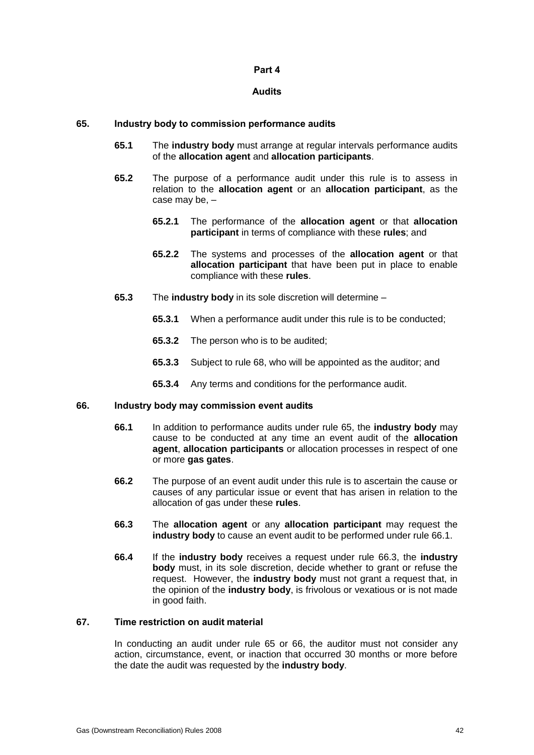### **Part 4**

### **Audits**

### **65. Industry body to commission performance audits**

- **65.1** The **industry body** must arrange at regular intervals performance audits of the **allocation agent** and **allocation participants**.
- **65.2** The purpose of a performance audit under this rule is to assess in relation to the **allocation agent** or an **allocation participant**, as the case may be, –
	- **65.2.1** The performance of the **allocation agent** or that **allocation participant** in terms of compliance with these **rules**; and
	- **65.2.2** The systems and processes of the **allocation agent** or that **allocation participant** that have been put in place to enable compliance with these **rules**.
- **65.3** The **industry body** in its sole discretion will determine
	- **65.3.1** When a performance audit under this rule is to be conducted;
	- **65.3.2** The person who is to be audited;
	- **65.3.3** Subject to rule 68, who will be appointed as the auditor; and
	- **65.3.4** Any terms and conditions for the performance audit.

#### **66. Industry body may commission event audits**

- **66.1** In addition to performance audits under rule 65, the **industry body** may cause to be conducted at any time an event audit of the **allocation agent**, **allocation participants** or allocation processes in respect of one or more **gas gates**.
- **66.2** The purpose of an event audit under this rule is to ascertain the cause or causes of any particular issue or event that has arisen in relation to the allocation of gas under these **rules**.
- **66.3** The **allocation agent** or any **allocation participant** may request the **industry body** to cause an event audit to be performed under rule 66.1.
- **66.4** If the **industry body** receives a request under rule 66.3, the **industry body** must, in its sole discretion, decide whether to grant or refuse the request. However, the **industry body** must not grant a request that, in the opinion of the **industry body**, is frivolous or vexatious or is not made in good faith.

### **67. Time restriction on audit material**

In conducting an audit under rule 65 or 66, the auditor must not consider any action, circumstance, event, or inaction that occurred 30 months or more before the date the audit was requested by the **industry body**.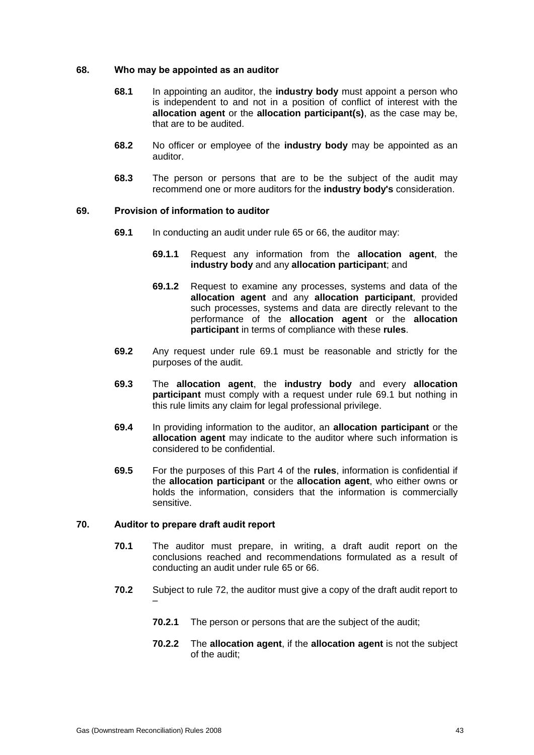### **68. Who may be appointed as an auditor**

- **68.1** In appointing an auditor, the **industry body** must appoint a person who is independent to and not in a position of conflict of interest with the **allocation agent** or the **allocation participant(s)**, as the case may be, that are to be audited.
- **68.2** No officer or employee of the **industry body** may be appointed as an auditor.
- **68.3** The person or persons that are to be the subject of the audit may recommend one or more auditors for the **industry body's** consideration.

### **69. Provision of information to auditor**

- **69.1** In conducting an audit under rule 65 or 66, the auditor may:
	- **69.1.1** Request any information from the **allocation agent**, the **industry body** and any **allocation participant**; and
	- **69.1.2** Request to examine any processes, systems and data of the **allocation agent** and any **allocation participant**, provided such processes, systems and data are directly relevant to the performance of the **allocation agent** or the **allocation participant** in terms of compliance with these **rules**.
- **69.2** Any request under rule 69.1 must be reasonable and strictly for the purposes of the audit.
- **69.3** The **allocation agent**, the **industry body** and every **allocation participant** must comply with a request under rule 69.1 but nothing in this rule limits any claim for legal professional privilege.
- **69.4** In providing information to the auditor, an **allocation participant** or the **allocation agent** may indicate to the auditor where such information is considered to be confidential.
- **69.5** For the purposes of this Part 4 of the **rules**, information is confidential if the **allocation participant** or the **allocation agent**, who either owns or holds the information, considers that the information is commercially sensitive.

### **70. Auditor to prepare draft audit report**

- **70.1** The auditor must prepare, in writing, a draft audit report on the conclusions reached and recommendations formulated as a result of conducting an audit under rule 65 or 66.
- **70.2** Subject to rule 72, the auditor must give a copy of the draft audit report to –
	- **70.2.1** The person or persons that are the subject of the audit;
	- **70.2.2** The **allocation agent**, if the **allocation agent** is not the subject of the audit;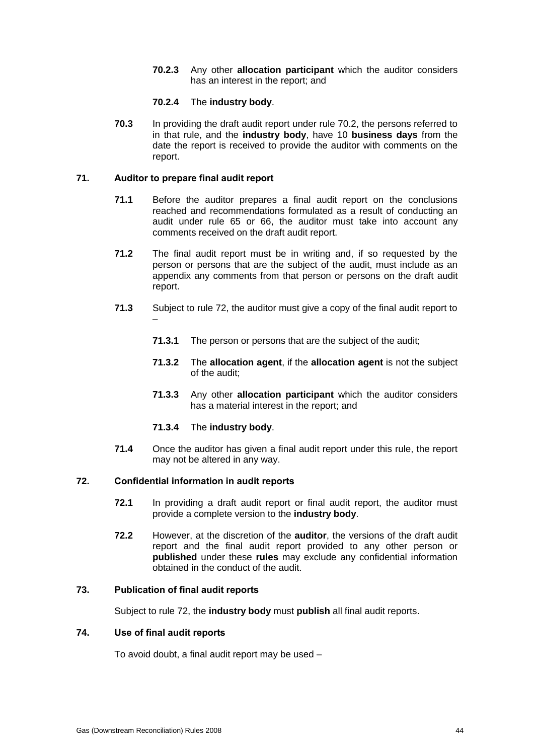**70.2.3** Any other **allocation participant** which the auditor considers has an interest in the report; and

### **70.2.4** The **industry body**.

**70.3** In providing the draft audit report under rule 70.2, the persons referred to in that rule, and the **industry body**, have 10 **business days** from the date the report is received to provide the auditor with comments on the report.

### **71. Auditor to prepare final audit report**

- **71.1** Before the auditor prepares a final audit report on the conclusions reached and recommendations formulated as a result of conducting an audit under rule 65 or 66, the auditor must take into account any comments received on the draft audit report.
- **71.2** The final audit report must be in writing and, if so requested by the person or persons that are the subject of the audit, must include as an appendix any comments from that person or persons on the draft audit report.
- **71.3** Subject to rule 72, the auditor must give a copy of the final audit report to –
	- **71.3.1** The person or persons that are the subject of the audit;
	- **71.3.2** The **allocation agent**, if the **allocation agent** is not the subject of the audit;
	- **71.3.3** Any other **allocation participant** which the auditor considers has a material interest in the report; and
	- **71.3.4** The **industry body**.
- **71.4** Once the auditor has given a final audit report under this rule, the report may not be altered in any way.

### **72. Confidential information in audit reports**

- **72.1** In providing a draft audit report or final audit report, the auditor must provide a complete version to the **industry body**.
- **72.2** However, at the discretion of the **auditor**, the versions of the draft audit report and the final audit report provided to any other person or **published** under these **rules** may exclude any confidential information obtained in the conduct of the audit.

### **73. Publication of final audit reports**

Subject to rule 72, the **industry body** must **publish** all final audit reports.

### **74. Use of final audit reports**

To avoid doubt, a final audit report may be used –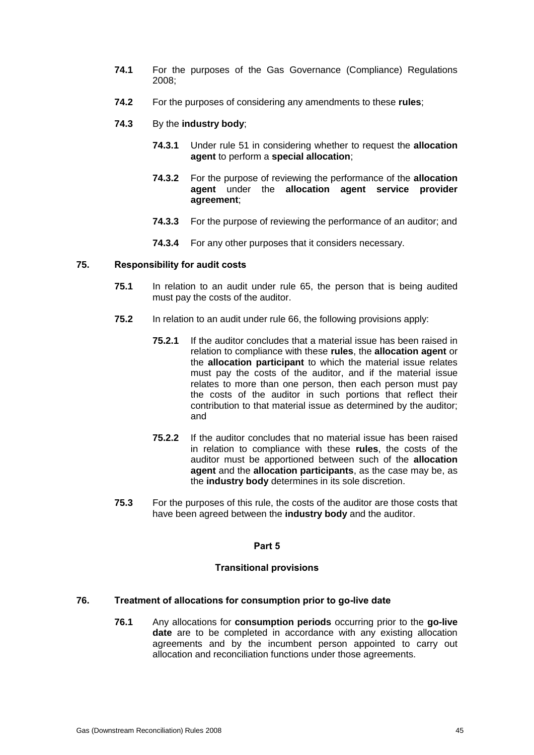- **74.1** For the purposes of the Gas Governance (Compliance) Regulations 2008;
- **74.2** For the purposes of considering any amendments to these **rules**;
- **74.3** By the **industry body**;
	- **74.3.1** Under rule 51 in considering whether to request the **allocation agent** to perform a **special allocation**;
	- **74.3.2** For the purpose of reviewing the performance of the **allocation agent** under the **allocation agent service provider agreement**;
	- **74.3.3** For the purpose of reviewing the performance of an auditor; and
	- **74.3.4** For any other purposes that it considers necessary.

### **75. Responsibility for audit costs**

- **75.1** In relation to an audit under rule 65, the person that is being audited must pay the costs of the auditor.
- **75.2** In relation to an audit under rule 66, the following provisions apply:
	- **75.2.1** If the auditor concludes that a material issue has been raised in relation to compliance with these **rules**, the **allocation agent** or the **allocation participant** to which the material issue relates must pay the costs of the auditor, and if the material issue relates to more than one person, then each person must pay the costs of the auditor in such portions that reflect their contribution to that material issue as determined by the auditor; and
	- **75.2.2** If the auditor concludes that no material issue has been raised in relation to compliance with these **rules**, the costs of the auditor must be apportioned between such of the **allocation agent** and the **allocation participants**, as the case may be, as the **industry body** determines in its sole discretion.
- **75.3** For the purposes of this rule, the costs of the auditor are those costs that have been agreed between the **industry body** and the auditor.

### **Part 5**

### **Transitional provisions**

### **76. Treatment of allocations for consumption prior to go-live date**

**76.1** Any allocations for **consumption periods** occurring prior to the **go-live date** are to be completed in accordance with any existing allocation agreements and by the incumbent person appointed to carry out allocation and reconciliation functions under those agreements.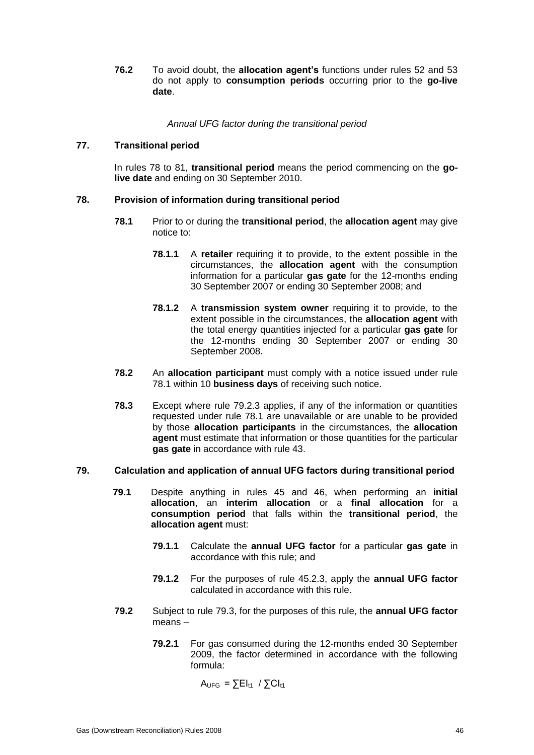**76.2** To avoid doubt, the **allocation agent's** functions under rules 52 and 53 do not apply to **consumption periods** occurring prior to the **go-live date**.

*Annual UFG factor during the transitional period*

### **77. Transitional period**

In rules 78 to 81, **transitional period** means the period commencing on the **golive date** and ending on 30 September 2010.

### **78. Provision of information during transitional period**

- **78.1** Prior to or during the **transitional period**, the **allocation agent** may give notice to:
	- **78.1.1** A **retailer** requiring it to provide, to the extent possible in the circumstances, the **allocation agent** with the consumption information for a particular **gas gate** for the 12-months ending 30 September 2007 or ending 30 September 2008; and
	- **78.1.2** A **transmission system owner** requiring it to provide, to the extent possible in the circumstances, the **allocation agent** with the total energy quantities injected for a particular **gas gate** for the 12-months ending 30 September 2007 or ending 30 September 2008.
- **78.2** An **allocation participant** must comply with a notice issued under rule 78.1 within 10 **business days** of receiving such notice.
- **78.3** Except where rule 79.2.3 applies, if any of the information or quantities requested under rule 78.1 are unavailable or are unable to be provided by those **allocation participants** in the circumstances, the **allocation agent** must estimate that information or those quantities for the particular **gas gate** in accordance with rule 43.

#### **79. Calculation and application of annual UFG factors during transitional period**

- **79.1** Despite anything in rules 45 and 46, when performing an **initial allocation**, an **interim allocation** or a **final allocation** for a **consumption period** that falls within the **transitional period**, the **allocation agent** must:
	- **79.1.1** Calculate the **annual UFG factor** for a particular **gas gate** in accordance with this rule; and
	- **79.1.2** For the purposes of rule 45.2.3, apply the **annual UFG factor** calculated in accordance with this rule.
- **79.2** Subject to rule 79.3, for the purposes of this rule, the **annual UFG factor** means –
	- **79.2.1** For gas consumed during the 12-months ended 30 September 2009, the factor determined in accordance with the following formula:

 $A_{UFG} = \sum E I_{t1} / \sum C I_{t1}$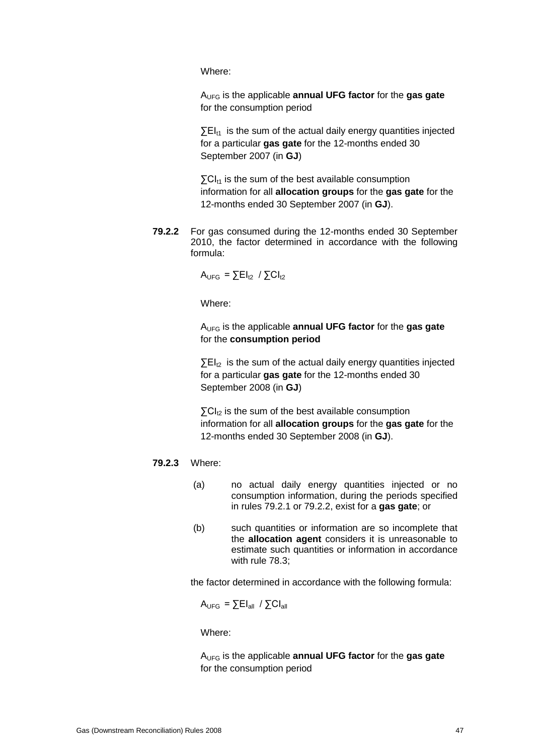Where:

AUFG is the applicable **annual UFG factor** for the **gas gate**  for the consumption period

 $\Sigma$ EI<sub>t1</sub> is the sum of the actual daily energy quantities injected for a particular **gas gate** for the 12-months ended 30 September 2007 (in **GJ**)

 $\Sigma$ CI<sub>t1</sub> is the sum of the best available consumption information for all **allocation groups** for the **gas gate** for the 12-months ended 30 September 2007 (in **GJ**).

**79.2.2** For gas consumed during the 12-months ended 30 September 2010, the factor determined in accordance with the following formula:

$$
A_{\text{UFG}} = \sum E I_{t2} / \sum C I_{t2}
$$

Where:

AUFG is the applicable **annual UFG factor** for the **gas gate**  for the **consumption period**

 $\Sigma$ EI<sub>t2</sub> is the sum of the actual daily energy quantities injected for a particular **gas gate** for the 12-months ended 30 September 2008 (in **GJ**)

 $\Sigma$ CI<sub>t2</sub> is the sum of the best available consumption information for all **allocation groups** for the **gas gate** for the 12-months ended 30 September 2008 (in **GJ**).

#### **79.2.3** Where:

- (a) no actual daily energy quantities injected or no consumption information, during the periods specified in rules 79.2.1 or 79.2.2, exist for a **gas gate**; or
- (b) such quantities or information are so incomplete that the **allocation agent** considers it is unreasonable to estimate such quantities or information in accordance with rule 78.3;

the factor determined in accordance with the following formula:

 $A_{\text{UEG}}$  =  $\sum EI_{\text{all}}$  /  $\sum CI_{\text{all}}$ 

Where:

AUFG is the applicable **annual UFG factor** for the **gas gate**  for the consumption period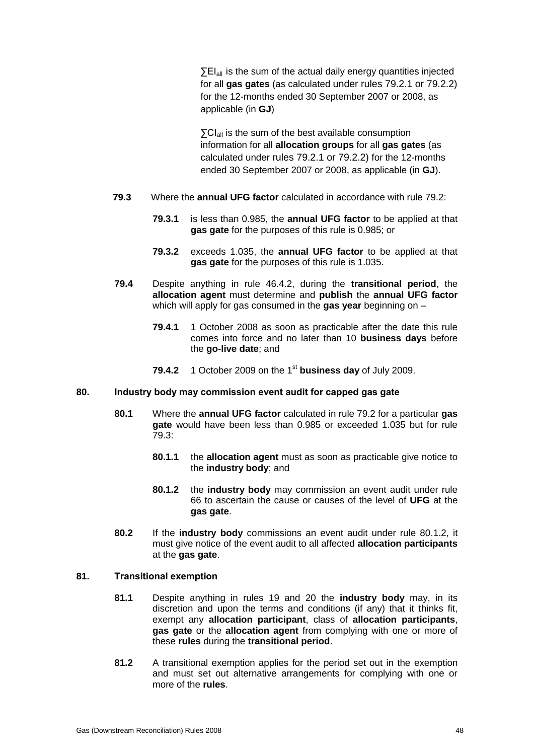∑EI<sub>all</sub> is the sum of the actual daily energy quantities injected for all **gas gates** (as calculated under rules 79.2.1 or 79.2.2) for the 12-months ended 30 September 2007 or 2008, as applicable (in **GJ**)

 $\sum C I_{all}$  is the sum of the best available consumption information for all **allocation groups** for all **gas gates** (as calculated under rules 79.2.1 or 79.2.2) for the 12-months ended 30 September 2007 or 2008, as applicable (in **GJ**).

- **79.3** Where the **annual UFG factor** calculated in accordance with rule 79.2:
	- **79.3.1** is less than 0.985, the **annual UFG factor** to be applied at that **gas gate** for the purposes of this rule is 0.985; or
	- **79.3.2** exceeds 1.035, the **annual UFG factor** to be applied at that **gas gate** for the purposes of this rule is 1.035.
- **79.4** Despite anything in rule 46.4.2, during the **transitional period**, the **allocation agent** must determine and **publish** the **annual UFG factor** which will apply for gas consumed in the **gas year** beginning on –
	- **79.4.1** 1 October 2008 as soon as practicable after the date this rule comes into force and no later than 10 **business days** before the **go-live date**; and
	- **79.4.2** 1 October 2009 on the 1<sup>st</sup> business day of July 2009.

### **80. Industry body may commission event audit for capped gas gate**

- **80.1** Where the **annual UFG factor** calculated in rule 79.2 for a particular **gas gate** would have been less than 0.985 or exceeded 1.035 but for rule 79.3:
	- **80.1.1** the **allocation agent** must as soon as practicable give notice to the **industry body**; and
	- **80.1.2** the **industry body** may commission an event audit under rule 66 to ascertain the cause or causes of the level of **UFG** at the **gas gate**.
- **80.2** If the **industry body** commissions an event audit under rule 80.1.2, it must give notice of the event audit to all affected **allocation participants** at the **gas gate**.

#### **81. Transitional exemption**

- **81.1** Despite anything in rules 19 and 20 the **industry body** may, in its discretion and upon the terms and conditions (if any) that it thinks fit, exempt any **allocation participant**, class of **allocation participants**, **gas gate** or the **allocation agent** from complying with one or more of these **rules** during the **transitional period**.
- **81.2** A transitional exemption applies for the period set out in the exemption and must set out alternative arrangements for complying with one or more of the **rules**.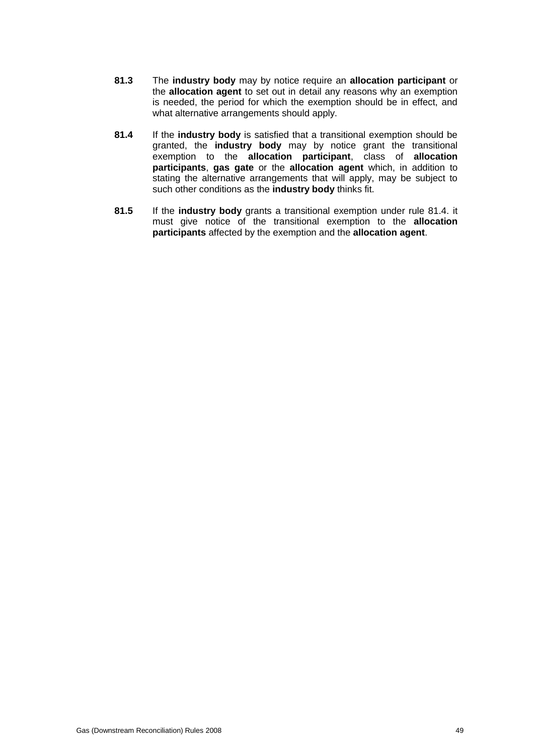- **81.3** The **industry body** may by notice require an **allocation participant** or the **allocation agent** to set out in detail any reasons why an exemption is needed, the period for which the exemption should be in effect, and what alternative arrangements should apply.
- **81.4** If the **industry body** is satisfied that a transitional exemption should be granted, the **industry body** may by notice grant the transitional exemption to the **allocation participant**, class of **allocation participants**, **gas gate** or the **allocation agent** which, in addition to stating the alternative arrangements that will apply, may be subject to such other conditions as the **industry body** thinks fit.
- **81.5** If the **industry body** grants a transitional exemption under rule 81.4. it must give notice of the transitional exemption to the **allocation participants** affected by the exemption and the **allocation agent**.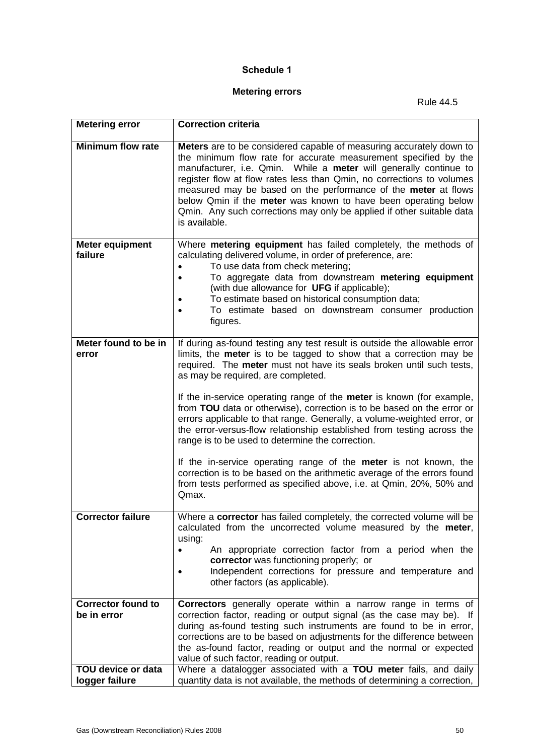### **Schedule 1**

## **Metering errors**

Rule 44.5

| <b>Metering error</b>                    | <b>Correction criteria</b>                                                                                                                                                                                                                                                                                                                                                                                                                                                                                         |
|------------------------------------------|--------------------------------------------------------------------------------------------------------------------------------------------------------------------------------------------------------------------------------------------------------------------------------------------------------------------------------------------------------------------------------------------------------------------------------------------------------------------------------------------------------------------|
| <b>Minimum flow rate</b>                 | Meters are to be considered capable of measuring accurately down to<br>the minimum flow rate for accurate measurement specified by the<br>manufacturer, i.e. Qmin. While a meter will generally continue to<br>register flow at flow rates less than Qmin, no corrections to volumes<br>measured may be based on the performance of the meter at flows<br>below Qmin if the meter was known to have been operating below<br>Qmin. Any such corrections may only be applied if other suitable data<br>is available. |
| <b>Meter equipment</b><br>failure        | Where metering equipment has failed completely, the methods of<br>calculating delivered volume, in order of preference, are:                                                                                                                                                                                                                                                                                                                                                                                       |
|                                          | To use data from check metering;<br>$\bullet$                                                                                                                                                                                                                                                                                                                                                                                                                                                                      |
|                                          | To aggregate data from downstream metering equipment<br>$\bullet$<br>(with due allowance for UFG if applicable);                                                                                                                                                                                                                                                                                                                                                                                                   |
|                                          | To estimate based on historical consumption data;<br>$\bullet$<br>To estimate based on downstream consumer production                                                                                                                                                                                                                                                                                                                                                                                              |
|                                          | figures.                                                                                                                                                                                                                                                                                                                                                                                                                                                                                                           |
| Meter found to be in                     | If during as-found testing any test result is outside the allowable error                                                                                                                                                                                                                                                                                                                                                                                                                                          |
| error                                    | limits, the meter is to be tagged to show that a correction may be<br>required. The meter must not have its seals broken until such tests,                                                                                                                                                                                                                                                                                                                                                                         |
|                                          | as may be required, are completed.                                                                                                                                                                                                                                                                                                                                                                                                                                                                                 |
|                                          | If the in-service operating range of the meter is known (for example,<br>from TOU data or otherwise), correction is to be based on the error or                                                                                                                                                                                                                                                                                                                                                                    |
|                                          | errors applicable to that range. Generally, a volume-weighted error, or<br>the error-versus-flow relationship established from testing across the<br>range is to be used to determine the correction.                                                                                                                                                                                                                                                                                                              |
|                                          | If the in-service operating range of the <b>meter</b> is not known, the                                                                                                                                                                                                                                                                                                                                                                                                                                            |
|                                          | correction is to be based on the arithmetic average of the errors found<br>from tests performed as specified above, i.e. at Qmin, 20%, 50% and                                                                                                                                                                                                                                                                                                                                                                     |
|                                          | Qmax.                                                                                                                                                                                                                                                                                                                                                                                                                                                                                                              |
| <b>Corrector failure</b>                 | Where a corrector has failed completely, the corrected volume will be<br>calculated from the uncorrected volume measured by the meter,                                                                                                                                                                                                                                                                                                                                                                             |
|                                          | using:                                                                                                                                                                                                                                                                                                                                                                                                                                                                                                             |
|                                          | An appropriate correction factor from a period when the<br>corrector was functioning properly; or                                                                                                                                                                                                                                                                                                                                                                                                                  |
|                                          | Independent corrections for pressure and temperature and<br>other factors (as applicable).                                                                                                                                                                                                                                                                                                                                                                                                                         |
|                                          |                                                                                                                                                                                                                                                                                                                                                                                                                                                                                                                    |
| <b>Corrector found to</b><br>be in error | <b>Correctors</b> generally operate within a narrow range in terms of<br>correction factor, reading or output signal (as the case may be). If                                                                                                                                                                                                                                                                                                                                                                      |
|                                          | during as-found testing such instruments are found to be in error,<br>corrections are to be based on adjustments for the difference between                                                                                                                                                                                                                                                                                                                                                                        |
|                                          | the as-found factor, reading or output and the normal or expected                                                                                                                                                                                                                                                                                                                                                                                                                                                  |
| <b>TOU device or data</b>                | value of such factor, reading or output.<br>Where a datalogger associated with a TOU meter fails, and daily                                                                                                                                                                                                                                                                                                                                                                                                        |
| logger failure                           | quantity data is not available, the methods of determining a correction,                                                                                                                                                                                                                                                                                                                                                                                                                                           |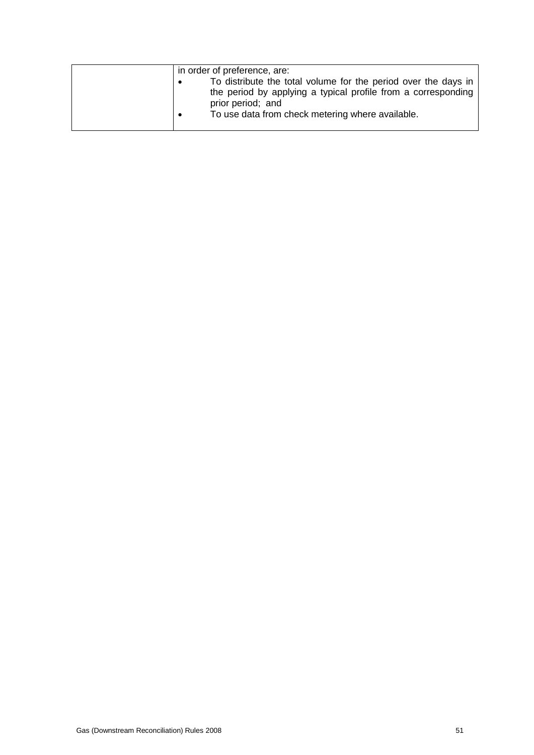| in order of preference, are:                                                                                                                         |
|------------------------------------------------------------------------------------------------------------------------------------------------------|
| To distribute the total volume for the period over the days in<br>the period by applying a typical profile from a corresponding<br>prior period; and |
| To use data from check metering where available.                                                                                                     |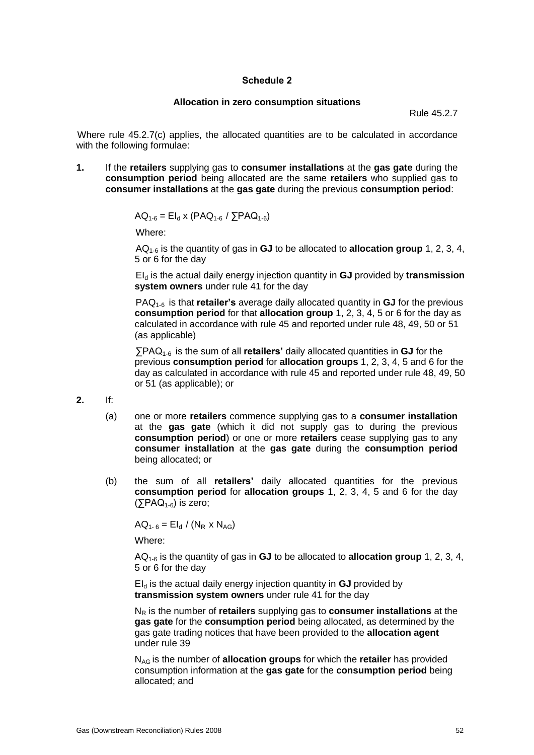### **Schedule 2**

#### **Allocation in zero consumption situations**

Rule 45.2.7

Where rule 45.2.7(c) applies, the allocated quantities are to be calculated in accordance with the following formulae:

**1.** If the **retailers** supplying gas to **consumer installations** at the **gas gate** during the **consumption period** being allocated are the same **retailers** who supplied gas to **consumer installations** at the **gas gate** during the previous **consumption period**:

$$
AQ_{1-6} = El_{d} \times (PAQ_{1-6} / \sum PAQ_{1-6})
$$

Where:

AQ1-6 is the quantity of gas in **GJ** to be allocated to **allocation group** 1, 2, 3, 4, 5 or 6 for the day

EI<sup>d</sup> is the actual daily energy injection quantity in **GJ** provided by **transmission system owners** under rule 41 for the day

PAQ1-6 is that **retailer's** average daily allocated quantity in **GJ** for the previous **consumption period** for that **allocation group** 1, 2, 3, 4, 5 or 6 for the day as calculated in accordance with rule 45 and reported under rule 48, 49, 50 or 51 (as applicable)

∑PAQ<sub>1-6</sub> is the sum of all **retailers'** daily allocated quantities in **GJ** for the previous **consumption period** for **allocation groups** 1, 2, 3, 4, 5 and 6 for the day as calculated in accordance with rule 45 and reported under rule 48, 49, 50 or 51 (as applicable); or

**2.** If:

- (a) one or more **retailers** commence supplying gas to a **consumer installation** at the **gas gate** (which it did not supply gas to during the previous **consumption period**) or one or more **retailers** cease supplying gas to any **consumer installation** at the **gas gate** during the **consumption period** being allocated; or
- (b) the sum of all **retailers'** daily allocated quantities for the previous **consumption period** for **allocation groups** 1, 2, 3, 4, 5 and 6 for the day  $($  $\overline{\smash{\bigtriangledown}}$ PAQ<sub>1-6</sub> $\smash{\bigtriangledown}}$  is zero;

 $AQ_{1-6} = El_{d} / (N_{R} \times N_{AG})$ 

Where:

AQ1-6 is the quantity of gas in **GJ** to be allocated to **allocation group** 1, 2, 3, 4, 5 or 6 for the day

 $EI<sub>d</sub>$  is the actual daily energy injection quantity in  $GJ$  provided by **transmission system owners** under rule 41 for the day

N<sup>R</sup> is the number of **retailers** supplying gas to **consumer installations** at the **gas gate** for the **consumption period** being allocated, as determined by the gas gate trading notices that have been provided to the **allocation agent** under rule 39

NAG is the number of **allocation groups** for which the **retailer** has provided consumption information at the **gas gate** for the **consumption period** being allocated; and